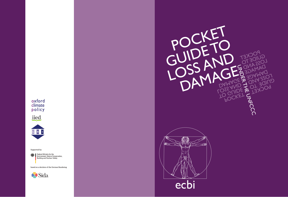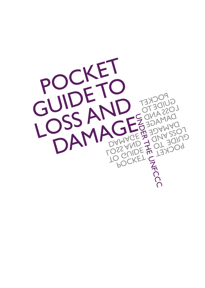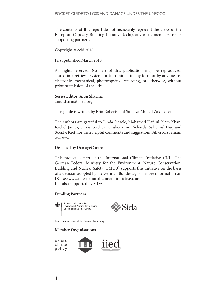The contents of this report do not necessarily represent the views of the European Capacity Building Initiative (ecbi), any of its members, or its supporting partners.

Copyright © ecbi 2018

First published March 2018.

All rights reserved. No part of this publication may be reproduced, stored in a retrieval system, or transmitted in any form or by any means, electronic, mechanical, photocopying, recording, or otherwise, without prior permission of the ecbi.

**Series Editor**: **Anju Sharma** anju.sharma@iied.org

This guide is written by Erin Roberts and Sumaya Ahmed Zakieldeen.

The authors are grateful to Linda Siegele, Mohamad Hafijul Islam Khan, Rachel James, Olivia Serdeczny, Julie-Anne Richards, Saleemul Huq and Soenke Kreft for their helpful comments and suggestions. All errors remain our own.

Designed by DamageControl

This project is part of the International Climate Initiative (IKI). The German Federal Ministry for the Environment, Nature Conservation, Building and Nuclear Safety (BMUB) supports this initiative on the basis of a decision adopted by the German Bundestag. For more information on IKI, see www.international-climate-initiative.com It is also supported by SIDA.

#### **Funding Partners**





based on a decision of the German Bundestag

 $R = 1$ 

#### **Member Organisations**

oxford climate policy

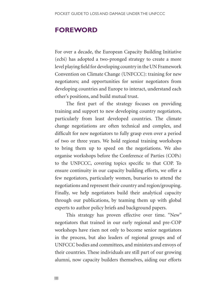## **FOREWORD**

For over a decade, the European Capacity Building Initiative (ecbi) has adopted a two-pronged strategy to create a more level playing field for developing country in the UN Framework Convention on Climate Change (UNFCCC): training for new negotiators; and opportunities for senior negotiators from developing countries and Europe to interact, understand each other's positions, and build mutual trust.

The first part of the strategy focuses on providing training and support to new developing country negotiators, particularly from least developed countries. The climate change negotiations are often technical and complex, and difficult for new negotiators to fully grasp even over a period of two or three years. We hold regional training workshops to bring them up to speed on the negotiations. We also organise workshops before the Conference of Parties (COPs) to the UNFCCC, covering topics specific to that COP. To ensure continuity in our capacity building efforts, we offer a few negotiators, particularly women, bursaries to attend the negotiations and represent their country and region/grouping. Finally, we help negotiators build their analytical capacity through our publications, by teaming them up with global experts to author policy briefs and background papers.

This strategy has proven effective over time. "New" negotiators that trained in our early regional and pre-COP workshops have risen not only to become senior negotiators in the process, but also leaders of regional groups and of UNFCCC bodies and committees, and ministers and envoys of their countries. These individuals are still part of our growing alumni, now capacity builders themselves, aiding our efforts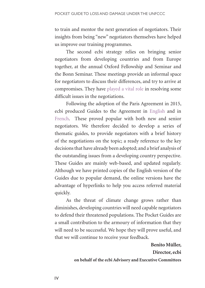to train and mentor the next generation of negotiators. Their insights from being "new" negotiators themselves have helped us improve our training programmes.

The second ecbi strategy relies on bringing senior negotiators from developing countries and from Europe together, at the annual Oxford Fellowship and Seminar and the Bonn Seminar. These meetings provide an informal space for negotiators to discuss their differences, and try to arrive at compromises. They have [played a vital role i](http://www.eurocapacity.org/downloads/ecbiAccomplishments2005-11.pdf)n resolving some difficult issues in the negotiations.

Following the adoption of the Paris Agreement in 2015, ecbi produced Guides to the Agreement in [English](http://www.eurocapacity.org/downloads/PocketGuide-Digital.pdf) and in [French](http://www.eurocapacity.org/downloads/WEB-FRENCHGUIDE.pdf). These proved popular with both new and senior negotiators. We therefore decided to develop a series of thematic guides, to provide negotiators with a brief history of the negotiations on the topic; a ready reference to the key decisions that have already been adopted; and a brief analysis of the outstanding issues from a developing country perspective. These Guides are mainly web-based, and updated regularly. Although we have printed copies of the English version of the Guides due to popular demand, the online versions have the advantage of hyperlinks to help you access referred material quickly.

As the threat of climate change grows rather than diminishes, developing countries will need capable negotiators to defend their threatened populations. The Pocket Guides are a small contribution to the armoury of information that they will need to be successful. We hope they will prove useful, and that we will continue to receive your feedback.

## **Benito Müller, Director, ecbi**

**on behalf of the ecbi Advisory and Executive Committees**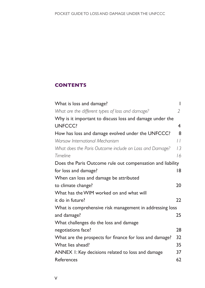## **CONTENTS**

| What is loss and damage?                                   | ı              |
|------------------------------------------------------------|----------------|
| What are the different types of loss and damage?           | $\overline{2}$ |
| Why is it important to discuss loss and damage under the   |                |
| UNFCCC?                                                    | 4              |
| How has loss and damage evolved under the UNFCCC?          | 8              |
| Warsaw International Mechanism                             | $\vert \vert$  |
| What does the Paris Outcome include on Loss and Damage?    | 1.3            |
| Timeline                                                   | 16             |
| Does the Paris Outcome rule out compensation and liability |                |
| for loss and damage?                                       | 18             |
| When can loss and damage be attributed                     |                |
| to climate change?                                         | 20             |
| What has the WIM worked on and what will                   |                |
| it do in future?                                           | 22             |
| What is comprehensive risk management in addressing loss   |                |
| and damage?                                                | 25             |
| What challenges do the loss and damage                     |                |
| negotiations face?                                         | 28             |
| What are the prospects for finance for loss and damage?    | 32             |
| What lies ahead?                                           | 35             |
| ANNEX 1: Key decisions related to loss and damage          | 37             |
| References                                                 | 62             |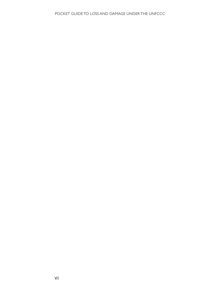### POCKET GUIDE TO LOSS AND DAMAGE under the UNFCCC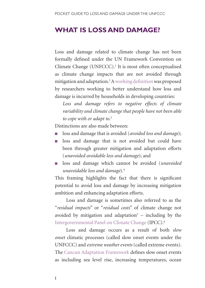## <span id="page-8-0"></span>**WHat is LOSS AND DAMAGE?**

Loss and damage related to climate change has not been formally defined under the UN Framework Convention on Climate Change (UNFCCC).<sup>[1](#page-69-0)</sup> It is most often conceptualised as climate change impacts that are not avoided through mitigation and adaptation[.2](#page-69-0) A [working definition](http://loss-and-damage.net/download/6815.pdf) was proposed by researchers working to better understand how loss and damage is incurred by households in developing countries:

Loss and damage refers to negative effects of climate *variability and climate change that people have not been able to cope with or adapt to*. [3](#page-69-0)

Distinctions are also made between:

- <sup>n</sup> loss and damage that is avoided (*avoided loss and damage*);
- <sup>n</sup> loss and damage that is not avoided but could have been through greater mitigation and adaptation efforts (*unavoided avoidable loss and damage*); and
- <sup>n</sup> loss and damage which cannot be avoided (*unavoided unavoidable loss and damage*).[4](#page-69-0)

This framing highlights the fact that there is significant potential to avoid loss and damage by increasing mitigation ambition and enhancing adaptation efforts.

Loss and damage is sometimes also referred to as the "*residual impacts*" or "*residual costs*" of climate change not avoided by mitigation and adaptation<sup>5</sup> – including by the [Intergovernmental Panel on Climate Change](http://www.ipcc.ch/pdf/assessment-report/ar5/wg1/WG1AR5_SPM_FINAL.pdf) (IPCC).[6](#page-69-0)

Loss and damage occurs as a result of both *slow onset* climatic processes (called slow onset events under the UNFCCC) and *extreme weather events* (called extreme events). The [Cancun Adaptation Framework](http://unfccc.int/adaptation/items/5852.php) defines slow onset events as including sea level rise, increasing temperatures, ocean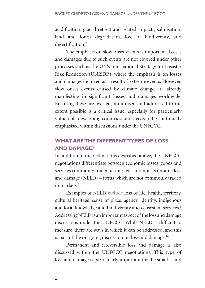<span id="page-9-0"></span>acidification, glacial retreat and related impacts, salinisation, land and forest degradation, loss of biodiversity, and desertification.<sup>7</sup>

The emphasis on slow onset events is important. Losses and damages due to such events are not covered under other processes such as the UN's International Strategy for Disaster Risk Reduction (UNISDR), where the emphasis is on losses and damages incurred as a result of extreme events. However, slow onset events caused by climate change are already manifesting in significant losses and damages worldwide. Ensuring these are averted, minimised and addressed to the extent possible is a critical issue, especially for particularly vulnerable developing countries, and needs to be continually emphasised within discussions under the UNFCCC.

## **WHAT ARE the different types of loss and damage?**

In addition to the distinctions described above, the UNFCCC negotiations differentiate between economic losses, goods and services commonly traded in markets, and non-economic loss and damage (NELD) – items which are not commonly traded in markets.<sup>[8](#page-69-0)</sup>

Examples of NELD [include](https://www.die-gdi.de/uploads/media/BP_3.2016_neu.pdf) loss of life, health, territory, cultural heritage, sense of place, agency, identity, indigenous and local knowledge and biodiversity and ecosystem services.<sup>9</sup> Addressing NELD is an important aspect of the loss and damage discussions under the UNFCCC. While NELD is difficult to measure, there are ways in which it can be addressed, and this is part of the on-going discussion on loss and damage.<sup>10</sup>

Permanent and irreversible loss and damage is also discussed within the UNFCCC negotiations. This type of loss and damage is particularly important for the small island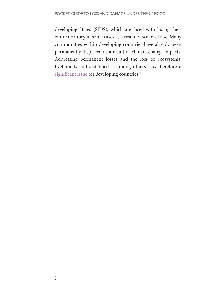developing States (SIDS), which are faced with losing their entire territory in some cases as a result of sea level rise. Many communities within developing countries have already been permanently displaced as a result of climate change impacts. Addressing permanent losses and the loss of ecosystems, livelihoods and statehood – among others – is therefore a [significant issue for developing countries](http://www.lossanddamage.net/4950).<sup>[11](#page-70-0)</sup>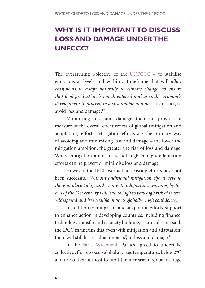# <span id="page-11-0"></span>**WHY IS IT IMPORTANTTO DISCUSS LOSS AND DAMAGE UNDER THE UNFCCC?**

The overarching objective of the [UNFCCC](http://unfccc.int/files/essential_background/convention/background/application/pdf/convention_text_with_annexes_english_for_posting.pdf) – to stabilise emissions at levels and within a timeframe that will *allow ecosystems to adapt naturally to climate change, to ensure that food production is not threatened and to enable economic development to proceed in a sustainable manner* – is, in fact, to avoid loss and damage.<sup>12</sup>

Monitoring loss and damage therefore provides a measure of the overall effectiveness of global (mitigation and adaptation) efforts. Mitigation efforts are the primary way of avoiding and minimising loss and damage – the lower the mitigation ambition, the greater the risk of loss and damage. Where mitigation ambition is not high enough, adaptation efforts can help avert or minimise loss and damage.

However, the [IPCC](http://ar5-syr.ipcc.ch/ipcc/ipcc/resources/pdf/IPCC_SynthesisReport.pdf) warns that existing efforts have not been successful: *Without additional mitigation efforts beyond those in place today, and even with adaptation, warming by the end of the 21st century will lead to high to very high risk of severe, widespread and irreversible impacts globally (high confidence).*[13](#page-70-0)

In addition to mitigation and adaptation efforts, support to enhance action in developing countries, including finance, technology transfer and capacity building, is crucial. That said, the IPCC maintains that even with mitigation and adaptation, there will still be "residual impacts", or loss and damage.<sup>[14](#page-70-0)</sup>

In the [Paris Agreement](http://unfccc.int/resource/docs/2015/cop21/eng/10a01.pdf#page=2), Parties agreed to undertake collective efforts to keep global average temperatures below 2°C and to do their utmost to limit the increase in global average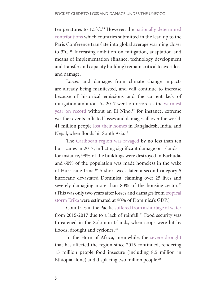temperatures to 1.5°C.<sup>15</sup> However, the nationally determined [contributions](http://unfccc.int/resource/docs/2016/cop22/eng/02.pdf) which countries submitted in the lead up to the Paris Conference translate into global average warming closer to 3°C[.16](#page-70-0) Increasing ambition on mitigation, adaptation and means of implementation (finance, technology development and transfer and capacity building) remain critical to avert loss and damage.

Losses and damages from climate change impacts are already being manifested, and will continue to increase because of historical emissions and the current lack of mitigation ambition. As 2017 went on record as the [warmest](https://www.metoffice.gov.uk/news/releases/2018/2017-temperature-announcement)  [year on record](https://www.metoffice.gov.uk/news/releases/2018/2017-temperature-announcement) without an El Niño,<sup>17</sup> for instance, extreme weather events inflicted losses and damages all over the world. 41 million people [lost their homes](https://www.theguardian.com/voluntary-sector-network/2017/sep/12/bangladesh-severe-disaster-flooding) in Bangladesh, India, and Nepal, when floods hit South Asia[.18](#page-70-0)

The [Caribbean region was ravaged](http://climateanalytics.org/blog/2017/a-year-of-climate-extremes-a-case-for-loss-und-damage-at-cop23.html) by no less than ten hurricanes in 2017, inflicting significant damage on islands – for instance, 99% of the buildings were destroyed in Barbuda, and 60% of the population was made homeless in the wake of Hurricane Irma.[19](#page-70-0) A short week later, a second category 5 hurricane devastated Dominica, claiming over 25 lives and severely damaging more than 80% of the housing sector.<sup>[20](#page-70-0)</sup> (This was only two years after losses and damages from [tropical](https://reliefweb.int/disaster/tc-2015-000119-dma)  [storm Erika](https://reliefweb.int/disaster/tc-2015-000119-dma) were estimated at 90% of Dominica's GDP.)

Countries in the Pacific [suffered from a shortage of water](https://reliefweb.int/disaster/dr-2015-000127-fji) from 2015-2017 due to a lack of rainfall.<sup>21</sup> Food security was threatened in the Solomon Islands, when crops were hit by floods, drought and cyclones.<sup>[22](#page-71-0)</sup>

In the Horn of Africa, meanwhile, the [severe drought](https://reliefweb.int/report/somalia/horn-africa-humanitarian-impacts-drought-issue-11-3-november-2017) that has affected the region since 2015 continued, rendering 15 million people food insecure (including 8.5 million in Ethiopia alone) and displacing two million people[.23](#page-71-0)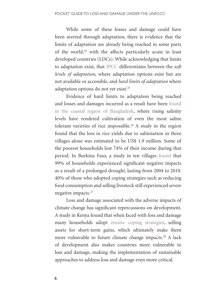While some of these losses and damage could have been averted through adaptation, there is evidence that the limits of adaptation are already being reached in some parts of the world,<sup>24</sup> with the affects particularly acute in least developed countries (LDCs). While acknowledging that limits to adaptation exist, that [IPCC](http://www.ipcc.ch/pdf/assessment-report/ar5/wg2/WGIIAR5-Chap16_FINAL.pdf) differentiates between the s*oft levels of adaptation*, where adaptation options exist but are not available or accessible, and *hard limits of adaptation* where adaptation options do not yet exist.[25](#page-71-0)

Evidence of hard limits to adaptation being reached and losses and damages incurred as a result have been [found](http://loss-and-damage.net/download/7228.pdf)  [in the coastal region of Bangladesh,](http://loss-and-damage.net/download/7228.pdf) where rising salinity levels have rendered cultivation of even the most saline tolerant varieties of rice impossible.[26](#page-71-0) A study in the region found that the loss in rice yields due to salinisation in three villages alone was estimated to be US\$ 1.9 million. Some of the poorest households lost 74% of their income during that period. In Burkina Faso, a study in ten villages [found](https://www.inderscienceonline.com/doi/pdf/10.1504/IJGW.2013.057288) that 99% of households experienced significant negative impacts as a result of a prolonged drought, lasting from 2004 to 2010. 40% of those who adopted coping strategies such as reducing food consumption and selling livestock still experienced severe negative impacts.[27](#page-71-0)

Loss and damage associated with the adverse impacts of climate change has significant repercussions on development. A study in Kenya found that when faced with loss and damage many households adopt [erosive coping strategies](http://loss-and-damage.net/download/7230.pdf), selling assets for short-term gains, which ultimately make them more vulnerable to future climate change impacts.<sup>28</sup> A lack of development also makes countries more vulnerable to loss and damage, making the implementation of sustainable approaches to address loss and damage even more critical.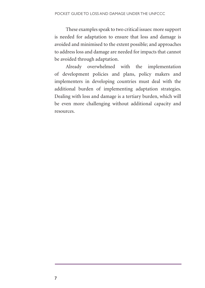These examples speak to two critical issues: more support is needed for adaptation to ensure that loss and damage is avoided and minimised to the extent possible; and approaches to address loss and damage are needed for impacts that cannot be avoided through adaptation.

Already overwhelmed with the implementation of development policies and plans, policy makers and implementers in developing countries must deal with the additional burden of implementing adaptation strategies. Dealing with loss and damage is a tertiary burden, which will be even more challenging without additional capacity and resources.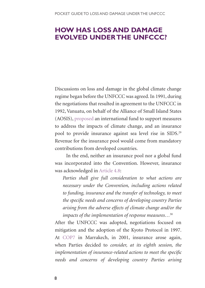# <span id="page-15-0"></span>**HOW HAS LOSS AND DAMAGE EVOLVED UNDER THE UNFCCC?**

Discussions on loss and damage in the global climate change regime began before the UNFCCC was agreed. In 1991, during the negotiations that resulted in agreement to the UNFCCC in 1992, Vanuatu, on behalf of the Alliance of Small Island States (AOSIS), [proposed](http://unfccc.int/resource/docs/a/wg2crp08.pdf) an international fund to support measures to address the impacts of climate change, and an insurance pool to provide insurance against sea level rise in SIDS.[29](#page-71-0) Revenue for the insurance pool would come from mandatory contributions from developed countries.

In the end, neither an insurance pool nor a global fund was incorporated into the Convention. However, insurance was acknowledged in [Article 4.8](http://unfccc.int/files/essential_background/convention/background/application/pdf/convention_text_with_annexes_english_for_posting.pdf):

*Parties shall give full consideration to what actions are necessary under the Convention, including actions related to funding, insurance and the transfer of technology, to meet the specific needs and concerns of developing country Parties arising from the adverse effects of climate change and/or the impacts of the implementation of response measures…*[30](#page-71-0)

After the UNFCCC was adopted, negotiations focused on mitigation and the adoption of the Kyoto Protocol in 1997. At [COP7](http://unfccc.int/resource/docs/cop7/13a01.pdf) in Marrakech, in 2001, insurance arose again, when Parties decided to *consider, at its eighth session, the implementation of insurance-related actions to meet the specific needs and concerns of developing country Parties arising*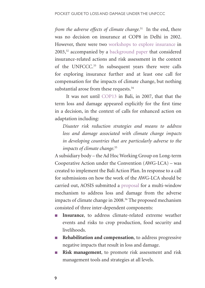*from the adverse effects of climate change.*[31](#page-71-0) In the end, there was no decision on insurance at COP8 in Delhi in 2002. However, there were two [workshops to explore insurance](https://www.mitpressjournals.org/doi/pdf/10.1162/GLEP_a_00379) in  $2003<sup>32</sup>$  accompanied by a [background paper](http://unfccc.int/files/meetings/workshops/other_meetings/application/pdf/background.pdf) that considered insurance-related actions and risk assessment in the context of the UNFCCC.[33](#page-72-0) In subsequent years there were calls for exploring insurance further and at least one call for compensation for the impacts of climate change, but nothing substantial arose from these requests.<sup>[34](#page-72-0)</sup>

It was not until [COP13](http://unfccc.int/resource/docs/2007/cop13/eng/06a01.pdf#page=3) in Bali, in 2007, that that the term loss and damage appeared explicitly for the first time in a decision, in the context of calls for enhanced action on adaptation including:

*Disaster risk reduction strategies and means to address loss and damage associated with climate change impacts in developing countries that are particularly adverse to the impacts of climate change.*[35](#page-72-0)

A subsidiary body – the Ad Hoc Working Group on Long-term Cooperative Action under the Convention (AWG-LCA) – was created to implement the Bali Action Plan. In response to a call for submissions on how the work of the AWG-LCA should be carried out, AOSIS submitted a [proposal](http://unfccc.int/files/kyoto_protocol/application/pdf/aosisinsurance061208.pdf) for a multi-window mechanism to address loss and damage from the adverse impacts of climate change in 2008.<sup>36</sup> The proposed mechanism consisted of three inter-dependent components:

- **n Insurance**, to address climate-related extreme weather events and risks to crop production, food security and livelihoods.
- **Rehabilitation and compensation**, to address progressive negative impacts that result in loss and damage.
- **n Risk management**, to promote risk assessment and risk management tools and strategies at all levels.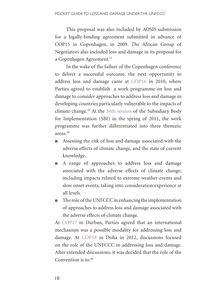This proposal was also included by AOSIS submission for a legally-binding agreement submitted in advance of COP15 in Copenhagen, in 2009. The African Group of Negotiators also included loss and damage in its proposal for a Copenhagen Agreement.<sup>37</sup>

In the wake of the failure of the Copenhagen conference to deliver a successful outcome, the next opportunity to address loss and damage came at [COP16](http://unfccc.int/resource/docs/2010/cop16/eng/07a01.pdf#page=2) in 2010, where Parties agreed to establish a work programme on loss and damage to consider approaches to address loss and damage in developing countries particularly vulnerable to the impacts of climate change[.39](#page-72-0) At the [34th session](http://unfccc.int/resource/docs/2011/sbi/eng/07.pdf) of the Subsidiary Body for Implementation (SBI) in the spring of 2011, the work programme was further differentiated into three thematic areas:[39](#page-72-0)

- <sup>n</sup> Assessing the risk of loss and damage associated with the adverse effects of climate change, and the state of current knowledge.
- <sup>n</sup> A range of approaches to address loss and damage associated with the adverse effects of climate change, including impacts related to extreme weather events and slow onset events, taking into consideration experience at all levels.
- $\blacksquare$  The role of the UNFCCC in enhancing the implementation of approaches to address loss and damage associated with the adverse effects of climate change.

At [COP17](http://unfccc.int/resource/docs/2011/cop17/eng/09a02.pdf#page=5) in Durban, Parties agreed that an international mechanism was a possible modality for addressing loss and damage. At [COP18](http://unfccc.int/resource/docs/2012/cop18/eng/08a01.pdf#page=21) in Doha in 2012, discussions focused on the role of the UNFCCC in addressing loss and damage. After extended discussions, it was decided that the role of the Convention is to:[40](#page-72-0)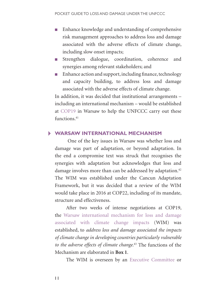- <span id="page-18-0"></span>■ Enhance knowledge and understanding of comprehensive risk management approaches to address loss and damage associated with the adverse effects of climate change, including slow onset impacts;
- <sup>n</sup> Strengthen dialogue, coordination, coherence and synergies among relevant stakeholders; and
- $\blacksquare$  Enhance action and support, including finance, technology and capacity building, to address loss and damage associated with the adverse effects of climate change.

In addition, it was decided that institutional arrangements – including an international mechanism – would be established at [COP19](http://unfccc.int/resource/docs/2013/cop19/eng/10a01.pdf#page=6) in Warsaw to help the UNFCCC carry out these functions.<sup>[41](#page-72-0)</sup>

#### **WARSAw INTERNATIONAL MECHANISM**  $\blacktriangleright$

 One of the key issues in Warsaw was whether loss and damage was part of adaptation, or beyond adaptation. In the end a compromise text was struck that recognises the synergies with adaptation but acknowledges that loss and damage involves more than can be addressed by adaptation.<sup>[42](#page-72-0)</sup> The WIM was established under the Cancun Adaptation Framework, but it was decided that a review of the WIM would take place in 2016 at COP22, including of its mandate, structure and effectiveness.

After two weeks of intense negotiations at COP19, the [Warsaw international mechanism for loss and damage](http://unfccc.int/adaptation/workstreams/loss_and_damage/items/8134.php)  [associated with climate change impacts \(](http://unfccc.int/adaptation/workstreams/loss_and_damage/items/8134.php)WIM) was established, to *address loss and damage associated the impacts of climate change in developing countries particularly vulnerable to the adverse effects of climate change.*[43](#page-72-0) The functions of the Mechanism are elaborated in **Box 1**.

The WIM is overseen by an [Executive Committee](http://unfccc.int/adaptation/groups_committees/loss_and_damage_executive_committee/items/7543.php) or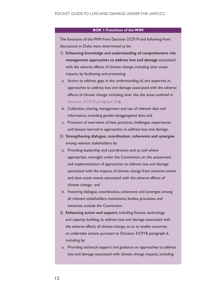#### **BOX 1: Functions of the WIM**

The functions of the WIM from Decision 2/CP.19 and following from discussions in Doha were determined to be:

- 1) **Enhancing knowledge and understanding of comprehensive risk management approaches to address loss and damage** associated with the adverse effects of climate change, including slow onset impacts, by facilitating and promoting:
- a. Action to address gaps in the understanding of, and expertise in, approaches to address loss and damage associated with the adverse effects of climate change, including, inter alia, the areas outlined in [Decision 3/CP.18, paragraph 7\(a](http://unfccc.int/resource/docs/2012/cop18/eng/08a01.pdf#page=21));
- b. Collection, sharing, management and use of relevant data and information, including gender-disaggregated data; and
- c. Provision of overviews of best practices, challenges, experiences and lessons learned in approaches to address loss and damage.
- 2) **Strengthening dialogue, coordination, coherence and synergies** among relevant stakeholders by:
	- a. Providing leadership and coordination and, as and where appropriate, oversight under the Convention, on the assessment and implementation of approaches to address loss and damage associated with the impacts of climate change from extreme events and slow onset events associated with the adverse effects of climate change; and
- b. Fostering dialogue, coordination, coherence and synergies among all relevant stakeholders, institutions, bodies, processes and initiatives outside the Convention.
- 3) **Enhancing action and support**, including finance, technology and capacity building, to address loss and damage associated with the adverse effects of climate change, so as to enable countries to undertake actions pursuant to Decision 3/CP.18, paragraph 6, including by:
- a. Providing technical support and guidance on approaches to address loss and damage associated with climate change impacts, including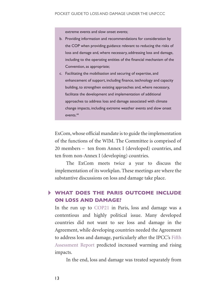extreme events and slow onset events;

- <span id="page-20-0"></span>b. Providing information and recommendations for consideration by the COP when providing guidance relevant to reducing the risks of loss and damage and, where necessary, addressing loss and damage, including to the operating entities of the financial mechanism of the Convention, as appropriate;
- c. Facilitating the mobilisation and securing of expertise, and enhancement of support, including finance, technology and capacity building, to strengthen existing approaches and, where necessary, facilitate the development and implementation of additional approaches to address loss and damage associated with climate change impacts, including extreme weather events and slow onset events[.44](#page-73-0)

ExCom, whose official mandate is to guide the implementation of the functions of the WIM. The Committee is comprised of 20 members – ten from Annex I (developed) countries, and ten from non-Annex I (developing) countries.

The ExCom meets twice a year to discuss the implementation of its workplan. These meetings are where the substantive discussions on loss and damage take place.

## **WHAT DOES THE PARIS OUTCOME INCLUDE**  4**ON LOSS AND DAMAGE?**

In the run up to [COP21](http://unfccc.int/resource/docs/2015/cop21/eng/10a01.pdf#page=2) in Paris, loss and damage was a contentious and highly political issue. Many developed countries did not want to see loss and damage in the Agreement, while developing countries needed the Agreement to address loss and damage, particularly after the IPCC's [Fifth](https://www.ipcc.ch/report/ar5/)  [Assessment Report](https://www.ipcc.ch/report/ar5/) predicted increased warming and rising impacts.

In the end, loss and damage was treated separately from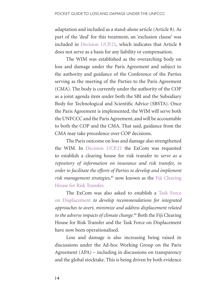adaptation and included as a stand-alone article (Article 8). As part of the 'deal' for this treatment, an 'exclusion clause' was included in [Decision 1/CP.21](https://unfccc.int/resource/docs/2015/cop21/eng/10a01.pdf), which indicates that Article 8 does not serve as a basis for any liability or compensation.

The WIM was established as the overarching body on loss and damage under the Paris Agreement and subject to the authority and guidance of the Conference of the Parties serving as the meeting of the Parties to the Paris Agreement (CMA). The body is currently under the authority of the COP as a joint agenda item under both the SBI and the Subsidiary Body for Technological and Scientific Advice (SBSTA). Once the Paris Agreement is implemented, the WIM will serve both the UNFCCC and the Paris Agreement, and will be accountable to both the COP and the CMA. That said, guidance from the CMA may take precedence over COP decisions.

The Paris outcome on loss and damage also strengthened the WIM. In [Decision 1/CP.21](https://unfccc.int/resource/docs/2015/cop21/eng/10a01.pdf) the ExCom was requested to establish a clearing house for risk transfer to *serve as a repository of information on insurance and risk transfer, in order to facilitate the efforts of Parties to develop and implement risk management strategies*, [45](#page-73-0) now known as the [Fiji Clearing](http://unfccc-clearinghouse.org)  [House for Risk Transfer](http://unfccc-clearinghouse.org).

The ExCom was also asked to establish a [Task Force](http://unfccc.int/adaptation/groups_committees/loss_and_damage_executive_committee/items/9978.php)  [on Displacement](http://unfccc.int/adaptation/groups_committees/loss_and_damage_executive_committee/items/9978.php) *to develop recommendations for integrated approaches to avert, minimize and address displacement related to the adverse impacts of climate change.*[46](#page-73-0) Both the Fiji Clearing House for Risk Transfer and the Task Force on Displacement have now been operationalised.

Loss and damage is also increasing being raised in discussions under the Ad-hoc Working Group on the Paris Agreement (APA) – including in discussions on transparency and the global stocktake. This is being driven by both evidence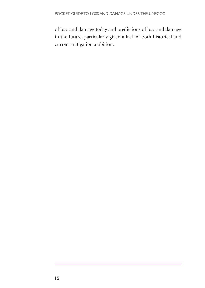of loss and damage today and predictions of loss and damage in the future, particularly given a lack of both historical and current mitigation ambition.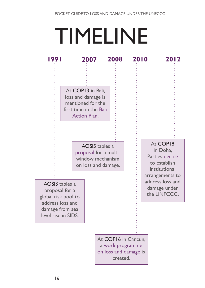# <span id="page-23-0"></span>TIMELINE

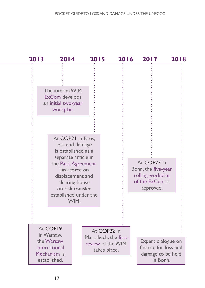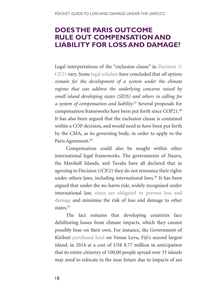## <span id="page-25-0"></span>**DOESTHE PARIS OUTCOME RULE OUT COMPENSATION AND LIABILITY FOR LOSS AND DAMAGE?**

Legal interpretations of the "exclusion clause" in [Decision 1/](https://unfccc.int/resource/docs/2015/cop21/eng/10a01.pdf) [CP.21](https://unfccc.int/resource/docs/2015/cop21/eng/10a01.pdf) vary. Some [legal scholars](http://onlinelibrary.wiley.com/store/10.1111/reel.12172/asset/reel12172.pdf?v=1&t=jeh3ipa9&s=09ebba8495bbdab1879942e78921325547487057) have concluded that *all options remain for the development of a system under the climate regime that can address the underlying concerns raised by small island developing states (SIDS) and others in calling for a system of compensation and liability.*[47](#page-73-0) Several proposals for compensation frameworks have been put forth since COP21.[48](#page-73-0) It has also been argued that the exclusion clause is contained within a COP decision, and would need to have been put forth by the CMA, as its governing body, in order to apply to the Paris Agreement.<sup>[49](#page-73-0)</sup>

Compensation could also be sought within other international legal frameworks. The governments of Nauru, the Marshall Islands, and Tuvalu have all declared that in agreeing to Decision 1/CP.21 they do not renounce their rights under others laws, including international laws.<sup>[50](#page-73-0)</sup> It has been argued that under the no-harm rule, widely recognised under international law, [states are obligated to prevent loss and](http://assets.wwf.org.uk/downloads/beyond_adaptation_lowres.pdf)  [damage](http://assets.wwf.org.uk/downloads/beyond_adaptation_lowres.pdf) and minimise the risk of loss and damage to other states.<sup>51</sup>

The fact remains that developing countries face debilitating losses from climate impacts, which they cannot possibly bear on their own. For instance, the Government of Kiribati [purchased land](http://www.theguardian.com/environment/2014/jul/01/kiribati-climate-change-fiji-vanua-levu) on Vanua Levu, Fiji's second largest island, in 2014 at a cost of US\$ 8.77 million in anticipation that its entire citizenry of 100,00 people spread over 33 islands may need to relocate in the near future due to impacts of sea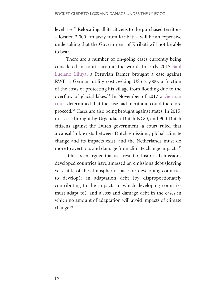level rise[.52](#page-73-0) Relocating all its citizens to the purchased territory – located 2,000 km away from Kiribati – will be an expensive undertaking that the Government of Kiribati will not be able to bear.

There are a number of on-going cases currently being considered in courts around the world. In early 2015 [Saul](https://www.boell.de/sites/default/files/report-climate-justice-2016.pdf)  [Luciano Lliuya,](https://www.boell.de/sites/default/files/report-climate-justice-2016.pdf) a Peruvian farmer brought a case against RWE, a German utility cost seeking US\$ 21,000, a fraction of the costs of protecting his village from flooding due to the overflow of glacial lakes.<sup>53</sup> In November of 2017 a German [court](https://www.theguardian.com/world/2017/nov/14/peruvian-farmer-sues-german-energy-giant-rwe-climate-change) determined that the case had merit and could therefore proceed[.54](#page-73-0) Cases are also being brought against states. In 2015, in [a case](http://www.urgenda.nl/en/climate-case/legal-documents.php) brought by Urgenda, a Dutch NGO, and 900 Dutch citizens against the Dutch government, a court ruled that a causal link exists between Dutch emissions, global climate change and its impacts exist, and the Netherlands must do more to avert loss and damage from climate change impacts.<sup>[55](#page-73-0)</sup>

It has been argued that as a result of historical emissions developed countries have amassed an emissions debt (leaving very little of the atmospheric space for developing countries to develop); an adaptation debt (by disproportionately contributing to the impacts to which developing countries must adapt to); and a loss and damage debt in the cases in which no amount of adaptation will avoid impacts of climate change.[56](#page-74-0)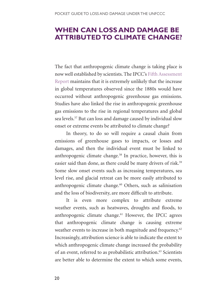# <span id="page-27-0"></span>**WHEN CAN LOSS AND DAMAGE BE ATTRIBUTED TO CLIMATE CHANGE?**

The fact that anthropogenic climate change is taking place is now well established by scientists. The IPCC's [Fifth Assessment](https://www.ipcc.ch/report/ar5/)  [Report](https://www.ipcc.ch/report/ar5/) maintains that it is extremely unlikely that the increase in global temperatures observed since the 1880s would have occurred without anthropogenic greenhouse gas emissions. Studies have also linked the rise in anthropogenic greenhouse gas emissions to the rise in regional temperatures and global sea levels.<sup>57</sup> But can loss and damage caused by individual slow onset or extreme events be attributed to climate change?

In theory, to do so will require a causal chain from emissions of greenhouse gases to impacts, or losses and damages, and then the individual event must be linked to anthropogenic climate change.<sup>58</sup> In practice, however, this is easier said than done, as there could be many drivers of risk.<sup>[59](#page-74-0)</sup> Some slow onset events such as increasing temperatures, sea level rise, and glacial retreat can be more easily attributed to anthropogenic climate change.<sup>60</sup> Others, such as salinisation and the loss of biodiversity, are more difficult to attribute.

It is even more complex to attribute extreme weather events, such as heatwaves, droughts and floods, to anthropogenic climate change.[61](#page-74-0) However, the IPCC agrees that anthropogenic climate change is causing extreme weather events to increase in both magnitude and frequency.<sup>[62](#page-74-0)</sup> Increasingly, attribution science is able to indicate the extent to which anthropogenic climate change increased the probability of an event, referred to as probabilistic attribution.<sup>63</sup> Scientists are better able to determine the extent to which some events,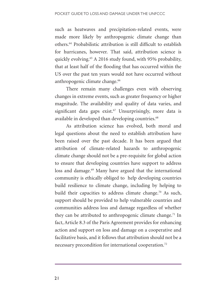such as heatwaves and precipitation-related events, were made more likely by anthropogenic climate change than others[.64](#page-74-0) Probabilistic attribution is still difficult to establish for hurricanes, however. That said, attribution science is quickly evolving.[65](#page-74-0) A 2016 study found, with 95% probability, that at least half of the flooding that has occurred within the US over the past ten years would not have occurred without anthropogenic climate change.<sup>[66](#page-75-0)</sup>

There remain many challenges even with observing changes in extreme events, such as greater frequency or higher magnitude. The availability and quality of data varies, and significant data gaps exist.<sup>67</sup> Unsurprisingly, more data is available in developed than developing countries.<sup>68</sup>

As attribution science has evolved, both moral and legal questions about the need to establish attribution have been raised over the past decade. It has been argued that attribution of climate-related hazards to anthropogenic climate change should not be a pre-requisite for global action to ensure that developing countries have support to address loss and damage.<sup>69</sup> Many have argued that the international community is ethically obliged to help developing countries build resilience to climate change, including by helping to build their capacities to address climate change.<sup>70</sup> As such, support should be provided to help vulnerable countries and communities address loss and damage regardless of whether they can be attributed to anthropogenic climate change.<sup>71</sup> In fact, Article 8.3 of the Paris Agreement provides for enhancing action and support on loss and damage on a cooperative and facilitative basis, and it follows that attribution should not be a necessary precondition for international cooperation.[72](#page-75-0)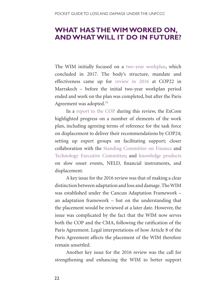# <span id="page-29-0"></span>**WHAT HASTHE WIM WORKED ON, AND WHAT WILL IT DO IN FUTURE?**

The WIM initially focused on a [two-year workplan](http://unfccc.int/adaptation/workstreams/loss_and_damage/items/8805.php), which concluded in 2017. The body's structure, mandate and effectiveness came up for [review in 2016](http://unfccc.int/resource/docs/2016/sb/eng/l09.pdf) at COP22 in Marrakech – before the initial two-year workplan period ended and work on the plan was completed, but after the Paris Agreement was adopted.[73](#page-75-0) 

In a [report to the COP](http://unfccc.int/files/meetings/marrakech_nov_2016/in-session/application/pdf/sbi45_wim_excom_oral_report.pdf) during this review, the ExCom highlighted progress on a number of elements of the work plan, including agreeing terms of reference for the task force on displacement to deliver their recommendations by COP24; setting up expert groups on facilitating support; closer collaboration with the [Standing Committee on Finance](http://unfccc.int/cooperation_and_support/financial_mechanism/standing_committee/items/6877.php) and [Technology Executive Committee;](http://unfccc.int/ttclear/tec) and [knowledge products](http://unfccc.int/adaptation/groups_committees/loss_and_damage_executive_committee/items/10001.php)  on slow onset events, NELD, financial instruments, and displacement.

A key issue for the 2016 review was that of making a clear distinction between adaptation and loss and damage. The WIM was established under the Cancun Adaptation Framework – an adaptation framework – but on the understanding that the placement would be reviewed at a later date. However, the issue was complicated by the fact that the WIM now serves both the COP and the CMA, following the ratification of the Paris Agreement. Legal interpretations of how Article 8 of the Paris Agreement affects the placement of the WIM therefore remain unsettled.

Another key issue for the 2016 review was the call for strengthening and enhancing the WIM to better support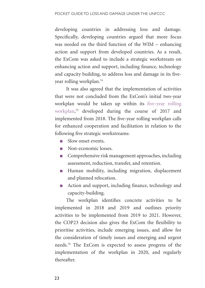developing countries in addressing loss and damage. Specifically, developing countries argued that more focus was needed on the third function of the WIM – enhancing action and support from developed countries. As a result, the ExCom was asked to include a strategic workstream on enhancing action and support, including finance, technology and capacity building, to address loss and damage in its fiveyear rolling workplan.[74](#page-75-0)

It was also agreed that the implementation of activities that were not concluded from the ExCom's initial two-year workplan would be taken up within its [five-year rolling](http://unfccc.int/resource/docs/2017/sb/eng/01a01e.pdf)  [workplan,](http://unfccc.int/resource/docs/2017/sb/eng/01a01e.pdf) [75](#page-75-0) developed during the course of 2017 and implemented from 2018. The five-year rolling workplan calls for enhanced cooperation and facilitation in relation to the following five strategic workstreams:

- Slow onset events.
- Non-economic losses.
- $\Box$  Comprehensive risk management approaches, including assessment, reduction, transfer, and retention.
- <sup>n</sup> Human mobility, including migration, displacement and planned relocation.
- Action and support, including finance, technology and capacity-building.

The workplan identifies concrete activities to be implemented in 2018 and 2019 and outlines priority activities to be implemented from 2019 to 2021. However, the COP23 decision also gives the ExCom the flexibility to prioritise activities, include emerging issues, and allow for the consideration of timely issues and emerging and urgent needs.[76](#page-76-0) The ExCom is expected to assess progress of the implementation of the workplan in 2020, and regularly thereafter.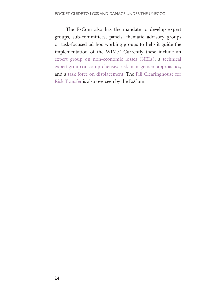The ExCom also has the mandate to develop expert groups, sub-committees, panels, thematic advisory groups or task-focused ad hoc working groups to help it guide the implementation of the WIM.<sup>77</sup> Currently these include an [expert group on non-economic losses \(NELs\),](http://unfccc.int/adaptation/groups_committees/loss_and_damage_executive_committee/items/9694.php) a [technical](http://unfccc.int/adaptation/groups_committees/loss_and_damage_executive_committee/items/9977.php) [expert group on comprehensive risk management approaches](http://unfccc.int/adaptation/groups_committees/loss_and_damage_executive_committee/items/9977.php), and a [task force on displacement.](http://unfccc.int/adaptation/groups_committees/loss_and_damage_executive_committee/items/9978.php) The [Fiji Clearinghouse for](http://unfccc-clearinghouse.org/) [Risk Transfer](http://unfccc-clearinghouse.org/) is also overseen by the ExCom.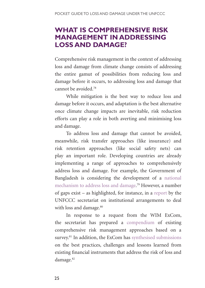# <span id="page-32-0"></span>**WHAT IS COMPREHENSIVE RISK MANAGEMENT IN ADDRESSING LOSS AND DAMAGE?**

Comprehensive risk management in the context of addressing loss and damage from climate change consists of addressing the entire gamut of possibilities from reducing loss and damage before it occurs, to addressing loss and damage that cannot be avoided[.78](#page-76-0)

While mitigation is the best way to reduce loss and damage before it occurs, and adaptation is the best alternative once climate change impacts are inevitable, risk reduction efforts can play a role in both averting and minimising loss and damage.

To address loss and damage that cannot be avoided, meanwhile, risk transfer approaches (like insurance) and risk retention approaches (like social safety nets) can play an important role. Developing countries are already implementing a range of approaches to comprehensively address loss and damage. For example, the Government of Bangladesh is considering the development of a [national](http://gobeshona.net/wp-content/uploads/2017/01/1.-Gobeshona-3-Presentation-on-National-Mechanism-on-LD_11.1.2017.pdf)  [mechanism to address loss and damage](http://gobeshona.net/wp-content/uploads/2017/01/1.-Gobeshona-3-Presentation-on-National-Mechanism-on-LD_11.1.2017.pdf). [79](#page-76-0) However, a number of gaps exist – as highlighted, for instance, in a [report](http://unfccc.int/resource/docs/2013/tp/12.pdf) by the UNFCCC secretariat on institutional arrangements to deal with loss and damage.<sup>[80](#page-76-0)</sup>

In response to a request from the WIM ExCom, the secretariat has prepared a [compendium](http://unfccc.int/files/adaptation/workstreams/loss_and_damage/application/pdf/compendium_march_2017.pdf) of existing comprehensive risk management approaches based on a survey.<sup>81</sup> In addition, the ExCom has synthesised submissions on the best practices, challenges and lessons learned from existing financial instruments that address the risk of loss and damage.<sup>82</sup>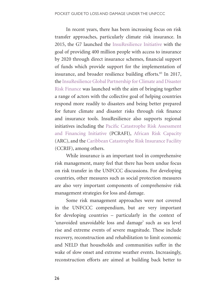In recent years, there has been increasing focus on risk transfer approaches, particularly climate risk insurance. In 2015, the G7 launched the [InsuResilience](http://www.insuresilience.org/) [Initiative](http://www.insuresilience.org/) with the goal of providing 400 million people with access to insurance by 2020 through direct insurance schemes, financial support of funds which provide support for the implementation of insurance, and broader resilience building efforts.<sup>83</sup> In 2017, the [InsuResilience Global Partnership for Climate and Disaster](http://www.insuresilience.org/about/) [Risk Finance](http://www.insuresilience.org/about/) was launched with the aim of bringing together a range of actors with the collective goal of helping countries respond more readily to disasters and being better prepared for future climate and disaster risks through risk finance and insurance tools. InsuResilience also supports regional initiatives including the [Pacific Catastrophe Risk Assessment](http://pcrafi.spc.int/) [and Financing Initiative](http://pcrafi.spc.int/) (PCRAFI), [African Risk Capacity](http://www.africanriskcapacity.org/) (ARC), and the [Caribbean Catastrophe Risk Insurance Facility](http://www.ccrif.org/) (CCRIF), among others.

While insurance is an important tool in comprehensive risk management, many feel that there has been undue focus on risk transfer in the UNFCCC discussions. For developing countries, other measures such as social protection measures are also very important components of comprehensive risk management strategies for loss and damage.

Some risk management approaches were not covered in the UNFCCC compendium, but are very important for developing countries – particularly in the context of 'unavoided unavoidable loss and damage' such as sea level rise and extreme events of severe magnitude. These include recovery, reconstruction and rehabilitation to limit economic and NELD that households and communities suffer in the wake of slow onset and extreme weather events. Increasingly, reconstruction efforts are aimed at building back better to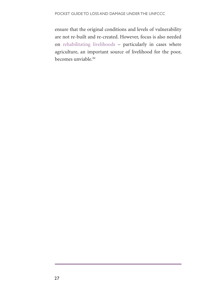ensure that the original conditions and levels of vulnerability are not re-built and re-created. However, focus is also needed on [rehabilitating livelihoods](https://uneplive.unep.org/media/docs/assessments/loss_and_damage.pdf) – particularly in cases where agriculture, an important source of livelihood for the poor, becomes unviable.<sup>[84](#page-76-0)</sup>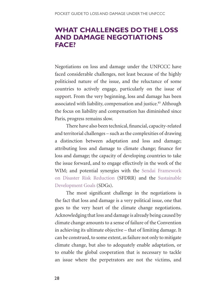## <span id="page-35-0"></span>**WHAT CHALLENGES DO THE LOSS AND DAMAGE NEGOTIATIONS FACE?**

Negotiations on loss and damage under the UNFCCC have faced considerable challenges, not least because of the highly politicised nature of the issue, and the reluctance of some countries to actively engage, particularly on the issue of support. From the very beginning, loss and damage has been associated with liability, compensation and justice.<sup>85</sup> Although the focus on liability and compensation has diminished since Paris, progress remains slow.

There have also been technical, financial, capacity-related and territorial challenges – such as the complexities of drawing a distinction between adaptation and loss and damage; attributing loss and damage to climate change; finance for loss and damage; the capacity of developing countries to take the issue forward, and to engage effectively in the work of the WIM; and potential synergies with the [Sendai Framework](https://www.unisdr.org/files/43291_sendaiframeworkfordrren.pdf)  [on Disaster Risk Reduction \(SFDRR\)](https://www.unisdr.org/files/43291_sendaiframeworkfordrren.pdf) and the [Sustainable](https://sustainabledevelopment.un.org/sdgs)  [Development Goals \(SDGs\).](https://sustainabledevelopment.un.org/sdgs)

The most significant challenge in the negotiations is the fact that loss and damage is a very political issue, one that goes to the very heart of the climate change negotiations. Acknowledging that loss and damage is already being caused by climate change amounts to a sense of failure of the Convention in achieving its ultimate objective – that of limiting damage. It can be construed, to some extent, as failure not only to mitigate climate change, but also to adequately enable adaptation, or to enable the global cooperation that is necessary to tackle an issue where the perpetrators are not the victims, and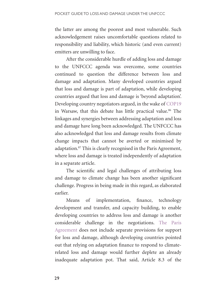the latter are among the poorest and most vulnerable. Such acknowledgement raises uncomfortable questions related to responsibility and liability, which historic (and even current) emitters are unwilling to face.

After the considerable hurdle of adding loss and damage to the UNFCCC agenda was overcome, some countries continued to question the difference between loss and damage and adaptation. Many developed countries argued that loss and damage is part of adaptation, while developing countries argued that loss and damage is 'beyond adaptation'. Developing country negotiators argued, in the wake of [COP19](http://unfccc.int/resource/docs/2013/cop19/eng/10a01.pdf#page=6)  in Warsaw, that this debate has little practical value.<sup>86</sup> The linkages and synergies between addressing adaptation and loss and damage have long been acknowledged. The UNFCCC has also acknowledged that loss and damage results from climate change impacts that cannot be averted or minimised by adaptation[.87](#page-77-0) This is clearly recognised in the Paris Agreement, where loss and damage is treated independently of adaptation in a separate article.

The scientific and legal challenges of attributing loss and damage to climate change has been another significant challenge. Progress in being made in this regard, as elaborated earlier.

Means of implementation, finance, technology development and transfer, and capacity building, to enable developing countries to address loss and damage is another considerable challenge in the negotiations. [The Paris](http://unfccc.int/resource/docs/2015/cop21/eng/10a01.pdf#page=2)  [Agreement](http://unfccc.int/resource/docs/2015/cop21/eng/10a01.pdf#page=2) does not include separate provisions for support for loss and damage, although developing countries pointed out that relying on adaptation finance to respond to climaterelated loss and damage would further deplete an already inadequate adaptation pot. That said, Article 8.3 of the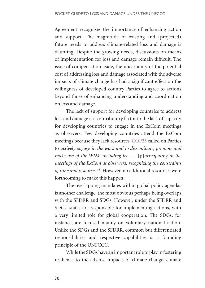Agreement recognises the importance of enhancing action and support. The magnitude of existing and (projected) future needs to address climate-related loss and damage is daunting. Despite the growing needs, discussions on means of implementation for loss and damage remain difficult. The issue of compensation aside, the uncertainty of the potential cost of addressing loss and damage associated with the adverse impacts of climate change has had a significant effect on the willingness of developed country Parties to agree to actions beyond those of enhancing understanding and coordination on loss and damage.

The lack of support for developing countries to address loss and damage is a contributory factor to the lack of capacity for developing countries to engage in the ExCom meetings as observers. Few developing countries attend the ExCom meetings because they lack resources. [COP23 c](http://unfccc.int/resource/docs/2017/cop23/eng/11a01.pdf)alled on Parties to *actively engage in the work and to disseminate, promote and make use of the WIM, including by . . .* [p]*articipating in the meetings of the ExCom as observers, recognizing the constraints of time and resources*. [88](#page-77-0) However, no additional resources were forthcoming to make this happen.

The overlapping mandates within global policy agendas is another challenge, the most obvious perhaps being overlaps with the SFDRR and SDGs. However, under the SFDRR and SDGs, states are responsible for implementing actions, with a very limited role for global cooperation. The SDGs, for instance, are focused mainly on voluntary national action. Unlike the SDGs and the SFDRR, common but differentiated responsibilities and respective capabilities is a founding principle of the UNFCCC.

While the SDGs have an important role to play in fostering resilience to the adverse impacts of climate change, climate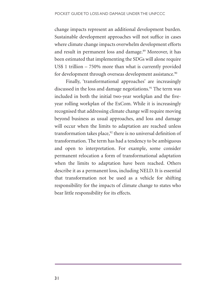change impacts represent an additional development burden. Sustainable development approaches will not suffice in cases where climate change impacts overwhelm development efforts and result in permanent loss and damage.<sup>89</sup> Moreover, it has been estimated that implementing the SDGs will alone require US\$ 1 trillion – 750% more than what is currently provided for development through overseas development assistance.<sup>90</sup>

Finally, 'transformational approaches' are increasingly discussed in the loss and damage negotiations.<sup>91</sup> The term was included in both the initial two-year workplan and the fiveyear rolling workplan of the ExCom. While it is increasingly recognised that addressing climate change will require moving beyond business as usual approaches, and loss and damage will occur when the limits to adaptation are reached unless transformation takes place, $92$  there is no universal definition of transformation. The term has had a tendency to be ambiguous and open to interpretation. For example, some consider permanent relocation a form of transformational adaptation when the limits to adaptation have been reached. Others describe it as a permanent loss, including NELD. It is essential that transformation not be used as a vehicle for shifting responsibility for the impacts of climate change to states who bear little responsibility for its effects.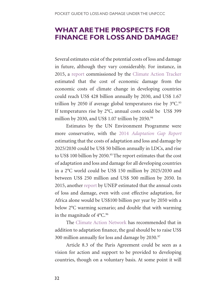# **WHAT ARE THE PROSPECTS FOR FINANCE FOR LOSS AND DAMAGE?**

Several estimates exist of the potential costs of loss and damage in future, although they vary considerably. For instance, in 2015, a [report](https://www.oxfam.org/sites/www.oxfam.org/files/file_attachments/rr-impacts-low-aggregate-indcs-ambition-251115-en.pdf) commissioned by the [Climate Action Tracker](http://climateactiontracker.org/) estimated that the cost of economic damage from the economic costs of climate change in developing countries could reach US\$ 428 billion annually by 2030, and US\$ 1.67 trillion by 2050 if average global temperatures rise by  $3^{\circ}C.^{93}$  $3^{\circ}C.^{93}$  $3^{\circ}C.^{93}$ If temperatures rise by 2°C, annual costs could be US\$ 399 million by 2030, and US\$ 1.07 trillion by 2050. $94$ 

Estimates by the UN Environment Programme were more conservative, with the 2014 *[Adaptation Gap Report](http://web.unep.org/adaptationgapreport/2014)* estimating that the costs of adaptation and loss and damage by 2025/2030 could be US\$ 50 billion annually in LDCs, and rise to US\$ 100 billion by 2050.<sup>95</sup> The report estimates that the cost of adaptation and loss and damage for all developing countries in a 2°C world could be US\$ 150 million by 2025/2030 and between US\$ 250 million and US\$ 500 million by 2050. In 2015, another [report](https://reliefweb.int/sites/reliefweb.int/files/resources/-Africas_adaptation_gap_2__Bridging_the_gap_%E2%80%93_mobilising_sources-2015-Africa%E2%80%99s_Adapta.pdf) by UNEP estimated that the annual costs of loss and damage, even with cost effective adaptation, for Africa alone would be US\$100 billion per year by 2050 with a below 2°C warming scenario; and double that with warming in the magnitude of  $4^{\circ}$ C.<sup>96</sup>

The [Climate Action Network](http://www.climatenetwork.org/sites/default/files/can_loss_and_damage_submission_022018.pdf) has recommended that in addition to adaptation finance, the goal should be to raise US\$ 300 million annually for loss and damage by 2030.[97](#page-77-0)

Article 8.3 of the Paris Agreement could be seen as a vision for action and support to be provided to developing countries, though on a voluntary basis. At some point it will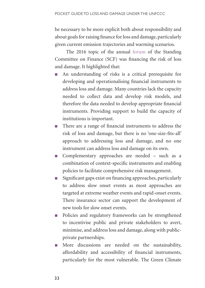be necessary to be more explicit both about responsibility and about goals for raising finance for loss and damage, particularly given current emission trajectories and warming scenarios.

The 2016 topic of the annual [forum](http://unfccc.int/resource/docs/2016/cop22/eng/10a01.pdf) of the Standing Committee on Finance (SCF) was financing the risk of loss and damage. It highlighted that:

- <sup>n</sup> An understanding of risks is a critical prerequisite for developing and operationalising financial instruments to address loss and damage. Many countries lack the capacity needed to collect data and develop risk models, and therefore the data needed to develop appropriate financial instruments. Providing support to build the capacity of institutions is important.
- There are a range of financial instruments to address the risk of loss and damage, but there is no 'one-size-fits-all' approach to addressing loss and damage, and no one instrument can address loss and damage on its own.
- Complementary approaches are needed such as a combination of context-specific instruments and enabling policies to facilitate comprehensive risk management.
- <sup>n</sup> Significant gaps exist on financing approaches, particularly to address slow onset events as most approaches are targeted at extreme weather events and rapid-onset events. There insurance sector can support the development of new tools for slow onset events.
- n Policies and regulatory frameworks can be strengthened to incentivise public and private stakeholders to avert, minimise, and address loss and damage, along with publicprivate partnerships.
- <sup>n</sup> More discussions are needed on the sustainability, affordability and accessibility of financial instruments, particularly for the most vulnerable. The Green Climate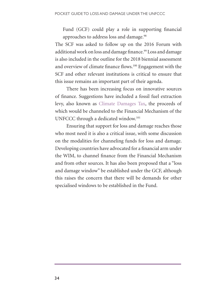Fund (GCF) could play a role in supporting financial approaches to address loss and damage.<sup>98</sup>

The SCF was asked to follow up on the 2016 Forum with additional work on loss and damage finance.<sup>99</sup> Loss and damage is also included in the outline for the 2018 biennial assessment and overview of climate finance flows[.100](#page-78-0) Engagement with the SCF and other relevant institutions is critical to ensure that this issue remains an important part of their agenda.

There has been increasing focus on innovative sources of finance. Suggestions have included a fossil fuel extraction levy, also known as [Climate Damages Tax](http://www.climatenetwork.org/sites/default/files/can_loss_and_damage_submission_022018.pdf), the proceeds of which would be channeled to the Financial Mechanism of the UNFCCC through a dedicated window[.101](#page-78-0)

Ensuring that support for loss and damage reaches those who most need it is also a critical issue, with some discussion on the modalities for channeling funds for loss and damage. Developing countries have advocated for a financial arm under the WIM, to channel finance from the Financial Mechanism and from other sources. It has also been proposed that a "loss and damage window" be established under the GCF, although this raises the concern that there will be demands for other specialised windows to be established in the Fund.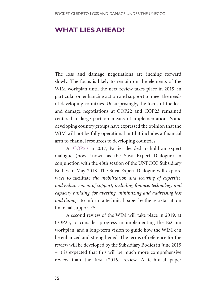## **WHAT lies ahead?**

The loss and damage negotiations are inching forward slowly. The focus is likely to remain on the elements of the WIM workplan until the next review takes place in 2019, in particular on enhancing action and support to meet the needs of developing countries. Unsurprisingly, the focus of the loss and damage negotiations at COP22 and COP23 remained centered in large part on means of implementation. Some developing country groups have expressed the opinion that the WIM will not be fully operational until it includes a financial arm to channel resources to developing countries.

At [COP23](http://unfccc.int/resource/docs/2017/cop23/eng/11a01.pdf) in 2017, Parties decided to hold an expert dialogue (now known as the Suva Expert Dialogue) in conjunction with the 48th session of the UNFCCC Subsidiary Bodies in May 2018. The Suva Expert Dialogue will explore ways to facilitate *the mobilization and securing of expertise, and enhancement of support, including finance, technology and capacity building, for averting, minimizing and addressing loss and damage* to inform a technical paper by the secretariat, on financial support.<sup>102</sup>

A second review of the WIM will take place in 2019, at COP25, to consider progress in implementing the ExCom workplan, and a long-term vision to guide how the WIM can be enhanced and strengthened. The terms of reference for the review will be developed by the Subsidiary Bodies in June 2019 – it is expected that this will be much more comprehensive review than the first (2016) review. A technical paper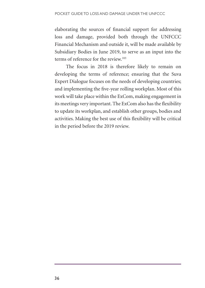elaborating the sources of financial support for addressing loss and damage, provided both through the UNFCCC Financial Mechanism and outside it, will be made available by Subsidiary Bodies in June 2019, to serve as an input into the terms of reference for the review.<sup>103</sup>

The focus in 2018 is therefore likely to remain on developing the terms of reference; ensuring that the Suva Expert Dialogue focuses on the needs of developing countries; and implementing the five-year rolling workplan. Most of this work will take place within the ExCom, making engagement in its meetings very important. The ExCom also has the flexibility to update its workplan, and establish other groups, bodies and activities. Making the best use of this flexibility will be critical in the period before the 2019 review.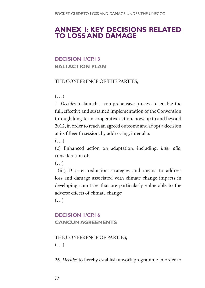## **ANNEX I: KEY DECISIONS RELATED TO LOSS AND DAMAGE**

## **[DECISION 1/CP.13](http://unfccc.int/resource/docs/2007/cop13/eng/06a01.pdf#page=3) BALI ACTION PLAN**

#### The Conference of the Parties,

 $\left( \ldots \right)$ 

1. *Decides* to launch a comprehensive process to enable the full, effective and sustained implementation of the Convention through long-term cooperative action, now, up to and beyond 2012, in order to reach an agreed outcome and adopt a decision at its fifteenth session, by addressing, inter alia:

 $(\ldots)$ 

(c) Enhanced action on adaptation, including, *inter alia*, consideration of:

 $(\ldots)$ 

 (iii) Disaster reduction strategies and means to address loss and damage associated with climate change impacts in developing countries that are particularly vulnerable to the adverse effects of climate change;

 $(\ldots)$ 

### **[DECISION 1/CP.16](http://unfccc.int/resource/docs/2010/cop16/eng/07a01.pdf#page=2) CANCUN AGREEMENTS**

The Conference of Parties,  $( \ldots )$ 

26. *Decides* to hereby establish a work programme in order to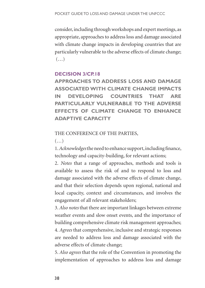consider, including through workshops and expert meetings, as appropriate, approaches to address loss and damage associated with climate change impacts in developing countries that are particularly vulnerable to the adverse effects of climate change;  $(\ldots)$ 

#### **[DECISION 3/CP.18](http://unfccc.int/resource/docs/2012/cop18/eng/08a01.pdf#page=21)**

**Approaches to address loss and damage associatedwith climate change impacts in developing countries that are particularly vulnerable to the adverse effects of climate change to enhance adaptive capacity** 

#### The Conference of the Parties,

 $(\ldots)$ 

1. *Acknowledges* the need to enhance support, including finance, technology and capacity-building, for relevant actions;

2. *Notes* that a range of approaches, methods and tools is available to assess the risk of and to respond to loss and damage associated with the adverse effects of climate change, and that their selection depends upon regional, national and local capacity, context and circumstances, and involves the engagement of all relevant stakeholders;

3. *Also notes* that there are important linkages between extreme weather events and slow onset events, and the importance of building comprehensive climate risk management approaches; 4. *Agrees* that comprehensive, inclusive and strategic responses are needed to address loss and damage associated with the adverse effects of climate change;

5. *Also agrees* that the role of the Convention in promoting the implementation of approaches to address loss and damage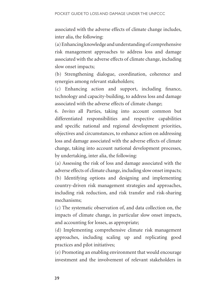associated with the adverse effects of climate change includes, inter alia, the following:

(a) Enhancing knowledge and understanding of comprehensive risk management approaches to address loss and damage associated with the adverse effects of climate change, including slow onset impacts;

(b) Strengthening dialogue, coordination, coherence and synergies among relevant stakeholders;

(c) Enhancing action and support, including finance, technology and capacity-building, to address loss and damage associated with the adverse effects of climate change;

6. *Invites* all Parties, taking into account common but differentiated responsibilities and respective capabilities and specific national and regional development priorities, objectives and circumstances, to enhance action on addressing loss and damage associated with the adverse effects of climate change, taking into account national development processes, by undertaking, inter alia, the following:

(a) Assessing the risk of loss and damage associated with the adverse effects of climate change, including slow onset impacts; (b) Identifying options and designing and implementing country-driven risk management strategies and approaches, including risk reduction, and risk transfer and risk-sharing mechanisms;

(c) The systematic observation of, and data collection on, the impacts of climate change, in particular slow onset impacts, and accounting for losses, as appropriate;

(d) Implementing comprehensive climate risk management approaches, including scaling up and replicating good practices and pilot initiatives;

(e) Promoting an enabling environment that would encourage investment and the involvement of relevant stakeholders in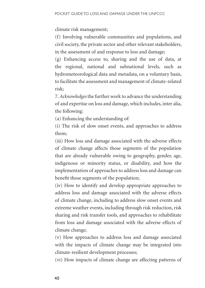climate risk management;

(f) Involving vulnerable communities and populations, and civil society, the private sector and other relevant stakeholders, in the assessment of and response to loss and damage;

(g) Enhancing access to, sharing and the use of data, at the regional, national and subnational levels, such as hydrometeorological data and metadata, on a voluntary basis, to facilitate the assessment and management of climate-related risk;

7. *Acknowledges* the further work to advance the understanding of and expertise on loss and damage, which includes, inter alia, the following:

(a) Enhancing the understanding of:

(i) The risk of slow onset events, and approaches to address them;

(iii) How loss and damage associated with the adverse effects of climate change affects those segments of the population that are already vulnerable owing to geography, gender, age, indigenous or minority status, or disability, and how the implementation of approaches to address loss and damage can benefit those segments of the population;

(iv) How to identify and develop appropriate approaches to address loss and damage associated with the adverse effects of climate change, including to address slow onset events and extreme weather events, including through risk reduction, risk sharing and risk transfer tools, and approaches to rehabilitate from loss and damage associated with the adverse effects of climate change;

(v) How approaches to address loss and damage associated with the impacts of climate change may be integrated into climate-resilient development processes;

(vi) How impacts of climate change are affecting patterns of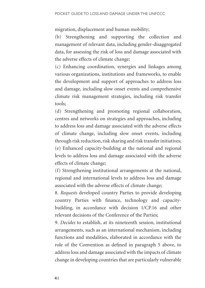migration, displacement and human mobility;

(b) Strengthening and supporting the collection and management of relevant data, including gender-disaggregated data, for assessing the risk of loss and damage associated with the adverse effects of climate change;

(c) Enhancing coordination, synergies and linkages among various organizations, institutions and frameworks, to enable the development and support of approaches to address loss and damage, including slow onset events and comprehensive climate risk management strategies, including risk transfer tools;

(d) Strengthening and promoting regional collaboration, centres and networks on strategies and approaches, including to address loss and damage associated with the adverse effects of climate change, including slow onset events, including through risk reduction, risk sharing and risk transfer initiatives; (e) Enhanced capacity-building at the national and regional levels to address loss and damage associated with the adverse effects of climate change;

(f) Strengthening institutional arrangements at the national, regional and international levels to address loss and damage associated with the adverse effects of climate change;

8. *Requests* developed country Parties to provide developing country Parties with finance, technology and capacitybuilding, in accordance with decision 1/CP.16 and other relevant decisions of the Conference of the Parties;

9. *Decides* to establish, at its nineteenth session, institutional arrangements, such as an international mechanism, including functions and modalities, elaborated in accordance with the role of the Convention as defined in paragraph 5 above, to address loss and damage associated with the impacts of climate change in developing countries that are particularly vulnerable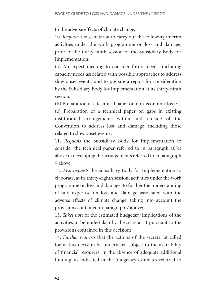to the adverse effects of climate change;

10. *Requests* the secretariat to carry out the following interim activities under the work programme on loss and damage, prior to the thirty-ninth session of the Subsidiary Body for Implementation:

(a) An expert meeting to consider future needs, including capacity needs associated with possible approaches to address slow onset events, and to prepare a report for consideration by the Subsidiary Body for Implementation at its thirty-ninth session;

(b) Preparation of a technical paper on non-economic losses;

(c) Preparation of a technical paper on gaps in existing institutional arrangements within and outside of the Convention to address loss and damage, including those related to slow onset events;

11. *Requests* the Subsidiary Body for Implementation to consider the technical paper referred to in paragraph  $10(c)$ above in developing the arrangements referred to in paragraph 9 above;

12. *Also requests* the Subsidiary Body for Implementation to elaborate, at its thirty-eighth session, activities under the work programme on loss and damage, to further the understanding of and expertise on loss and damage associated with the adverse effects of climate change, taking into account the provisions contained in paragraph 7 above;

13. *Takes note* of the estimated budgetary implications of the activities to be undertaken by the secretariat pursuant to the provisions contained in this decision;

14. *Further requests* that the actions of the secretariat called for in this decision be undertaken subject to the availability of financial resources; in the absence of adequate additional funding, as indicated in the budgetary estimates referred to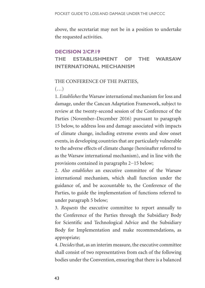above, the secretariat may not be in a position to undertake the requested activities.

#### **[DECISION 2/CP.19](http://unfccc.int/resource/docs/2013/cop19/eng/10a01.pdf#page=6)**

## **THE ESTABLISHMENT OF THE WARSAW INTERNATIONAL MECHANISM**

## The Conference of the Parties,

### $(\ldots)$

1. *Establishes* the Warsaw international mechanism for loss and damage, under the Cancun Adaptation Framework, subject to review at the twenty-second session of the Conference of the Parties (November–December 2016) pursuant to paragraph 15 below, to address loss and damage associated with impacts of climate change, including extreme events and slow onset events, in developing countries that are particularly vulnerable to the adverse effects of climate change (hereinafter referred to as the Warsaw international mechanism), and in line with the provisions contained in paragraphs 2−15 below;

2. *Also establishes* an executive committee of the Warsaw international mechanism, which shall function under the guidance of, and be accountable to, the Conference of the Parties, to guide the implementation of functions referred to under paragraph 5 below;

3. *Requests* the executive committee to report annually to the Conference of the Parties through the Subsidiary Body for Scientific and Technological Advice and the Subsidiary Body for Implementation and make recommendations, as appropriate;

4. *Decides* that, as an interim measure, the executive committee shall consist of two representatives from each of the following bodies under the Convention, ensuring that there is a balanced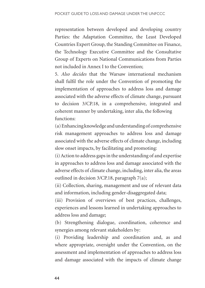representation between developed and developing country Parties: the Adaptation Committee, the Least Developed Countries Expert Group, the Standing Committee on Finance, the Technology Executive Committee and the Consultative Group of Experts on National Communications from Parties not included in Annex I to the Convention;

5. *Also decides* that the Warsaw international mechanism shall fulfil the role under the Convention of promoting the implementation of approaches to address loss and damage associated with the adverse effects of climate change, pursuant to decision 3/CP.18, in a comprehensive, integrated and coherent manner by undertaking, inter alia, the following functions:

(a) Enhancing knowledge and understanding of comprehensive risk management approaches to address loss and damage associated with the adverse effects of climate change, including slow onset impacts, by facilitating and promoting:

(i) Action to address gaps in the understanding of and expertise in approaches to address loss and damage associated with the adverse effects of climate change, including, inter alia, the areas outlined in decision 3/CP.18, paragraph 7(a);

(ii) Collection, sharing, management and use of relevant data and information, including gender-disaggregated data;

(iii) Provision of overviews of best practices, challenges, experiences and lessons learned in undertaking approaches to address loss and damage;

(b) Strengthening dialogue, coordination, coherence and synergies among relevant stakeholders by:

(i) Providing leadership and coordination and, as and where appropriate, oversight under the Convention, on the assessment and implementation of approaches to address loss and damage associated with the impacts of climate change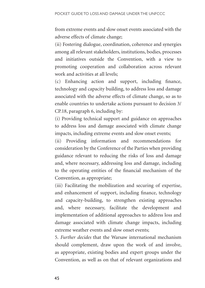from extreme events and slow onset events associated with the adverse effects of climate change;

(ii) Fostering dialogue, coordination, coherence and synergies among all relevant stakeholders, institutions, bodies, processes and initiatives outside the Convention, with a view to promoting cooperation and collaboration across relevant work and activities at all levels;

(c) Enhancing action and support, including finance, technology and capacity building, to address loss and damage associated with the adverse effects of climate change, so as to enable countries to undertake actions pursuant to decision 3/ CP.18, paragraph 6, including by:

(i) Providing technical support and guidance on approaches to address loss and damage associated with climate change impacts, including extreme events and slow onset events;

(ii) Providing information and recommendations for consideration by the Conference of the Parties when providing guidance relevant to reducing the risks of loss and damage and, where necessary, addressing loss and damage, including to the operating entities of the financial mechanism of the Convention, as appropriate;

(iii) Facilitating the mobilization and securing of expertise, and enhancement of support, including finance, technology and capacity-building, to strengthen existing approaches and, where necessary, facilitate the development and implementation of additional approaches to address loss and damage associated with climate change impacts, including extreme weather events and slow onset events;

5. *Further decides* that the Warsaw international mechanism should complement, draw upon the work of and involve, as appropriate, existing bodies and expert groups under the Convention, as well as on that of relevant organizations and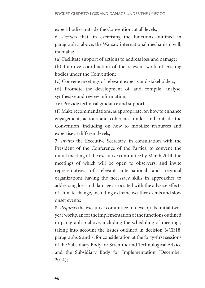expert bodies outside the Convention, at all levels;

6. *Decides* that, in exercising the functions outlined in paragraph 5 above, the Warsaw international mechanism will, inter alia:

(a) Facilitate support of actions to address loss and damage;

(b) Improve coordination of the relevant work of existing bodies under the Convention;

(c) Convene meetings of relevant experts and stakeholders;

(d) Promote the development of, and compile, analyse, synthesize and review information;

(e) Provide technical guidance and support;

(f) Make recommendations, as appropriate, on how to enhance engagement, actions and coherence under and outside the Convention, including on how to mobilize resources and expertise at different levels;

7. *Invites* the Executive Secretary, in consultation with the President of the Conference of the Parties, to convene the initial meeting of the executive committee by March 2014, the meetings of which will be open to observers, and invite representatives of relevant international and regional organizations having the necessary skills in approaches to addressing loss and damage associated with the adverse effects of climate change, including extreme weather events and slow onset events;

8. *Requests* the executive committee to develop its initial twoyear workplan for the implementation of the functions outlined in paragraph 5 above, including the scheduling of meetings, taking into account the issues outlined in decision 3/CP.18, paragraphs 6 and 7, for consideration at the forty-first sessions of the Subsidiary Body for Scientific and Technological Advice and the Subsidiary Body for Implementation (December 2014);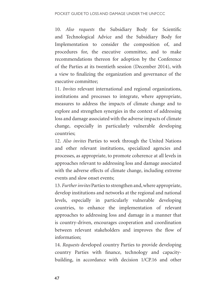10. *Also requests* the Subsidiary Body for Scientific and Technological Advice and the Subsidiary Body for Implementation to consider the composition of, and procedures for, the executive committee, and to make recommendations thereon for adoption by the Conference of the Parties at its twentieth session (December 2014), with a view to finalizing the organization and governance of the executive committee;

11. *Invites* relevant international and regional organizations, institutions and processes to integrate, where appropriate, measures to address the impacts of climate change and to explore and strengthen synergies in the context of addressing loss and damage associated with the adverse impacts of climate change, especially in particularly vulnerable developing countries;

12. *Also invites* Parties to work through the United Nations and other relevant institutions, specialized agencies and processes, as appropriate, to promote coherence at all levels in approaches relevant to addressing loss and damage associated with the adverse effects of climate change, including extreme events and slow onset events;

13. *Further invites* Parties to strengthen and, where appropriate, develop institutions and networks at the regional and national levels, especially in particularly vulnerable developing countries, to enhance the implementation of relevant approaches to addressing loss and damage in a manner that is country-driven, encourages cooperation and coordination between relevant stakeholders and improves the flow of information;

14. *Requests* developed country Parties to provide developing country Parties with finance, technology and capacitybuilding, in accordance with decision 1/CP.16 and other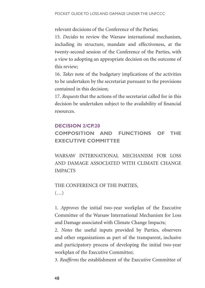relevant decisions of the Conference of the Parties;

15. *Decides* to review the Warsaw international mechanism, including its structure, mandate and effectiveness, at the twenty-second session of the Conference of the Parties, with a view to adopting an appropriate decision on the outcome of this review;

16. *Takes* note of the budgetary implications of the activities to be undertaken by the secretariat pursuant to the provisions contained in this decision;

17. *Requests* that the actions of the secretariat called for in this decision be undertaken subject to the availability of financial resources.

#### **[DECISION 2/CP.20](http://unfccc.int/resource/docs/2014/cop20/eng/10a02.pdf#page=2)**

## **COMPOSITION AND FUNCTIONS OF THE EXECUTIVE COMMITTEE**

Warsaw International Mechanism for Loss and Damage associated with Climate Change **IMPACTS** 

#### The Conference of the Parties,  $(\ldots)$

1. *Approves* the initial two-year workplan of the Executive Committee of the Warsaw International Mechanism for Loss and Damage associated with Climate Change Impacts;

2. *Notes* the useful inputs provided by Parties, observers and other organizations as part of the transparent, inclusive and participatory process of developing the initial two-year workplan of the Executive Committee;

3. *Reaffirms* the establishment of the Executive Committee of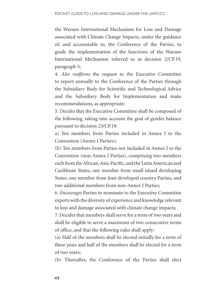the Warsaw International Mechanism for Loss and Damage associated with Climate Change Impacts, under the guidance of, and accountable to, the Conference of the Parties, to guide the implementation of the functions of the Warsaw International Mechanism referred to in decision 2/CP.19, paragraph 5;

4. *Also reaffirms* the request to the Executive Committee to report annually to the Conference of the Parties through the Subsidiary Body for Scientific and Technological Advice and the Subsidiary Body for Implementation and make recommendations, as appropriate;

5. *Decides* that the Executive Committee shall be composed of the following, taking into account the goal of gender balance pursuant to decision 23/CP.18:

a) Ten members from Parties included in Annex I to the Convention (Annex I Parties);

(b) Ten members from Parties not included in Annex I to the Convention (non-Annex I Parties), comprising two members each from the African, Asia-Pacific, and the Latin American and Caribbean States, one member from small island developing States, one member from least developed country Parties, and two additional members from non-Annex I Parties;

6. *Encourages* Parties to nominate to the Executive Committee experts with the diversity of experience and knowledge relevant to loss and damage associated with climate change impacts;

7. Decides that members shall serve for a term of two years and shall be eligible to serve a maximum of two consecutive terms of office, and that the following rules shall apply:

(a) Half of the members shall be elected initially for a term of three years and half of the members shall be elected for a term of two years;

(b) Thereafter, the Conference of the Parties shall elect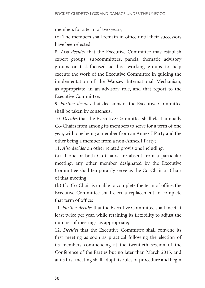members for a term of two years;

(c) The members shall remain in office until their successors have been elected;

8. *Also decides* that the Executive Committee may establish expert groups, subcommittees, panels, thematic advisory groups or task-focused ad hoc working groups to help execute the work of the Executive Committee in guiding the implementation of the Warsaw International Mechanism, as appropriate, in an advisory role, and that report to the Executive Committee;

9. *Further decides* that decisions of the Executive Committee shall be taken by consensus;

10. *Decides* that the Executive Committee shall elect annually Co-Chairs from among its members to serve for a term of one year, with one being a member from an Annex I Party and the other being a member from a non-Annex I Party;

11. *Also decides* on other related provisions including:

(a) If one or both Co-Chairs are absent from a particular meeting, any other member designated by the Executive Committee shall temporarily serve as the Co-Chair or Chair of that meeting;

(b) If a Co-Chair is unable to complete the term of office, the Executive Committee shall elect a replacement to complete that term of office;

11. *Further decides* that the Executive Committee shall meet at least twice per year, while retaining its flexibility to adjust the number of meetings, as appropriate;

12. *Decides* that the Executive Committee shall convene its first meeting as soon as practical following the election of its members commencing at the twentieth session of the Conference of the Parties but no later than March 2015, and at its first meeting shall adopt its rules of procedure and begin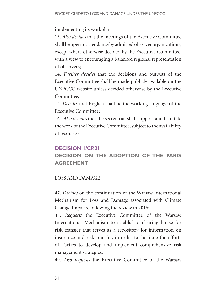implementing its workplan;

13. *Also decides* that the meetings of the Executive Committee shall be open to attendance by admitted observer organizations, except where otherwise decided by the Executive Committee, with a view to encouraging a balanced regional representation of observers;

14. *Further decides* that the decisions and outputs of the Executive Committee shall be made publicly available on the UNFCCC website unless decided otherwise by the Executive Committee;

15. *Decides* that English shall be the working language of the Executive Committee;

16. *Also decides* that the secretariat shall support and facilitate the work of the Executive Committee, subject to the availability of resources.

#### **[DECISION 1/CP.21](http://unfccc.int/resource/docs/2015/cop21/eng/10a01.pdf#page=2)**

## **DECISION ON THE ADOPTION OF THE PARIS AGREEMENT**

#### Loss and damage

47. *Decides* on the continuation of the Warsaw International Mechanism for Loss and Damage associated with Climate Change Impacts, following the review in 2016;

48. *Requests* the Executive Committee of the Warsaw International Mechanism to establish a clearing house for risk transfer that serves as a repository for information on insurance and risk transfer, in order to facilitate the efforts of Parties to develop and implement comprehensive risk management strategies;

49. *Also requests* the Executive Committee of the Warsaw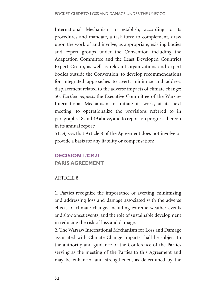International Mechanism to establish, according to its procedures and mandate, a task force to complement, draw upon the work of and involve, as appropriate, existing bodies and expert groups under the Convention including the Adaptation Committee and the Least Developed Countries Expert Group, as well as relevant organizations and expert bodies outside the Convention, to develop recommendations for integrated approaches to avert, minimize and address displacement related to the adverse impacts of climate change; 50. *Further requests* the Executive Committee of the Warsaw International Mechanism to initiate its work, at its next meeting, to operationalize the provisions referred to in paragraphs 48 and 49 above, and to report on progress thereon in its annual report;

51. *Agrees* that Article 8 of the Agreement does not involve or provide a basis for any liability or compensation;

## **[DECISION 1/CP.21](http://unfccc.int/files/essential_background/convention/application/pdf/english_paris_agreement.pdf)  PARIS AGREEMENT**

#### ARTICLE 8

1. Parties recognize the importance of averting, minimizing and addressing loss and damage associated with the adverse effects of climate change, including extreme weather events and slow onset events, and the role of sustainable development in reducing the risk of loss and damage.

2. The Warsaw International Mechanism for Loss and Damage associated with Climate Change Impacts shall be subject to the authority and guidance of the Conference of the Parties serving as the meeting of the Parties to this Agreement and may be enhanced and strengthened, as determined by the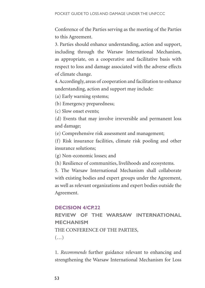Conference of the Parties serving as the meeting of the Parties to this Agreement.

3. Parties should enhance understanding, action and support, including through the Warsaw International Mechanism, as appropriate, on a cooperative and facilitative basis with respect to loss and damage associated with the adverse effects of climate change.

4. Accordingly, areas of cooperation and facilitation to enhance understanding, action and support may include:

(a) Early warning systems;

(b) Emergency preparedness;

(c) Slow onset events;

(d) Events that may involve irreversible and permanent loss and damage;

(e) Comprehensive risk assessment and management;

(f) Risk insurance facilities, climate risk pooling and other insurance solutions;

(g) Non-economic losses; and

(h) Resilience of communities, livelihoods and ecosystems.

5. The Warsaw International Mechanism shall collaborate with existing bodies and expert groups under the Agreement, as well as relevant organizations and expert bodies outside the Agreement.

#### **[DECISION 4/CP.22](http://unfccc.int/resource/docs/2016/cop22/eng/10a01.pdf)**

**REVIEW OF THE WARSAW INTERNATIONAL MECHANISM**  The Conference of the Parties,  $(\ldots)$ 

1. *Recommends* further guidance relevant to enhancing and strengthening the Warsaw International Mechanism for Loss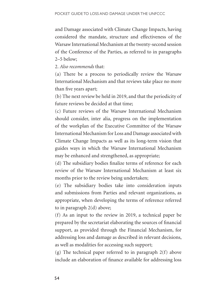and Damage associated with Climate Change Impacts, having considered the mandate, structure and effectiveness of the Warsaw International Mechanism at the twenty-second session of the Conference of the Parties, as referred to in paragraphs 2–5 below;

2. *Also recommends* that:

(a) There be a process to periodically review the Warsaw International Mechanism and that reviews take place no more than five years apart;

(b) The next review be held in 2019, and that the periodicity of future reviews be decided at that time;

(c) Future reviews of the Warsaw International Mechanism should consider, inter alia, progress on the implementation of the workplan of the Executive Committee of the Warsaw International Mechanism for Loss and Damage associated with Climate Change Impacts as well as its long-term vision that guides ways in which the Warsaw International Mechanism may be enhanced and strengthened, as appropriate;

(d) The subsidiary bodies finalize terms of reference for each review of the Warsaw International Mechanism at least six months prior to the review being undertaken;

(e) The subsidiary bodies take into consideration inputs and submissions from Parties and relevant organizations, as appropriate, when developing the terms of reference referred to in paragraph 2(d) above;

(f) As an input to the review in 2019, a technical paper be prepared by the secretariat elaborating the sources of financial support, as provided through the Financial Mechanism, for addressing loss and damage as described in relevant decisions, as well as modalities for accessing such support;

(g) The technical paper referred to in paragraph 2(f) above include an elaboration of finance available for addressing loss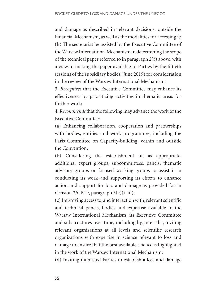and damage as described in relevant decisions, outside the Financial Mechanism, as well as the modalities for accessing it; (h) The secretariat be assisted by the Executive Committee of the Warsaw International Mechanism in determining the scope of the technical paper referred to in paragraph 2(f) above, with a view to making the paper available to Parties by the fiftieth sessions of the subsidiary bodies (June 2019) for consideration in the review of the Warsaw International Mechanism;

3. *Recognizes* that the Executive Committee may enhance its effectiveness by prioritizing activities in thematic areas for further work;

4. *Recommends* that the following may advance the work of the Executive Committee:

(a) Enhancing collaboration, cooperation and partnerships with bodies, entities and work programmes, including the Paris Committee on Capacity-building, within and outside the Convention;

(b) Considering the establishment of, as appropriate, additional expert groups, subcommittees, panels, thematic advisory groups or focused working groups to assist it in conducting its work and supporting its efforts to enhance action and support for loss and damage as provided for in decision  $2/CP.19$ , paragraph  $5(c)(i-iii)$ ;

(c) Improving access to, and interaction with, relevant scientific and technical panels, bodies and expertise available to the Warsaw International Mechanism, its Executive Committee and substructures over time, including by, inter alia, inviting relevant organizations at all levels and scientific research organizations with expertise in science relevant to loss and damage to ensure that the best available science is highlighted in the work of the Warsaw International Mechanism;

(d) Inviting interested Parties to establish a loss and damage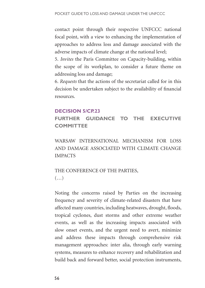contact point through their respective UNFCCC national focal point, with a view to enhancing the implementation of approaches to address loss and damage associated with the adverse impacts of climate change at the national level;

5. *Invites* the Paris Committee on Capacity-building, within the scope of its workplan, to consider a future theme on addressing loss and damage;

6. *Requests* that the actions of the secretariat called for in this decision be undertaken subject to the availability of financial resources.

#### **[DECISION 5/CP.23](http://unfccc.int/resource/docs/2017/cop23/eng/11a01.pdf)**

**FURTHER GUIDANCE TO THE EXECUTIVE COMMITTEE** 

Warsaw International Mechanism for Loss and Damage associated with Climate Change **IMPACTS** 

The Conference of the Parties,  $(\ldots)$ 

Noting the concerns raised by Parties on the increasing frequency and severity of climate-related disasters that have affected many countries, including heatwaves, drought, floods, tropical cyclones, dust storms and other extreme weather events, as well as the increasing impacts associated with slow onset events, and the urgent need to avert, minimize and address these impacts through comprehensive risk management approaches: inter alia, through early warning systems, measures to enhance recovery and rehabilitation and build back and forward better, social protection instruments,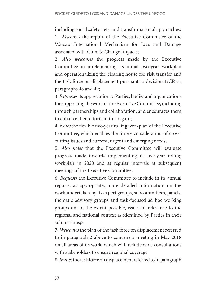including social safety nets, and transformational approaches, 1. *Welcomes* the report of the Executive Committee of the Warsaw International Mechanism for Loss and Damage associated with Climate Change Impacts;

2. *Also welcomes* the progress made by the Executive Committee in implementing its initial two-year workplan and operationalizing the clearing house for risk transfer and the task force on displacement pursuant to decision 1/CP.21, paragraphs 48 and 49;

3. *Expresses* its appreciation to Parties, bodies and organizations for supporting the work of the Executive Committee, including through partnerships and collaboration, and encourages them to enhance their efforts in this regard;

4. *Notes* the flexible five-year rolling workplan of the Executive Committee, which enables the timely consideration of crosscutting issues and current, urgent and emerging needs;

5. *Also notes* that the Executive Committee will evaluate progress made towards implementing its five-year rolling workplan in 2020 and at regular intervals at subsequent meetings of the Executive Committee;

6. *Requests* the Executive Committee to include in its annual reports, as appropriate, more detailed information on the work undertaken by its expert groups, subcommittees, panels, thematic advisory groups and task-focused ad hoc working groups on, to the extent possible, issues of relevance to the regional and national context as identified by Parties in their submissions;2

7. *Welcomes* the plan of the task force on displacement referred to in paragraph 2 above to convene a meeting in May 2018 on all areas of its work, which will include wide consultations with stakeholders to ensure regional coverage;

8. *Invites* the task force on displacement referred to in paragraph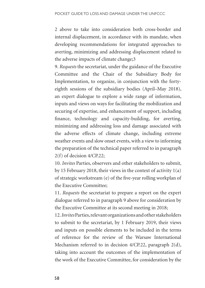2 above to take into consideration both cross-border and internal displacement, in accordance with its mandate, when developing recommendations for integrated approaches to averting, minimizing and addressing displacement related to the adverse impacts of climate change;3

9. *Requests* the secretariat, under the guidance of the Executive Committee and the Chair of the Subsidiary Body for Implementation, to organize, in conjunction with the fortyeighth sessions of the subsidiary bodies (April–May 2018), an expert dialogue to explore a wide range of information, inputs and views on ways for facilitating the mobilization and securing of expertise, and enhancement of support, including finance, technology and capacity-building, for averting, minimizing and addressing loss and damage associated with the adverse effects of climate change, including extreme weather events and slow onset events, with a view to informing the preparation of the technical paper referred to in paragraph 2(f) of decision 4/CP.22;

10. *Invites* Parties, observers and other stakeholders to submit, by 15 February 2018, their views in the context of activity 1(a) of strategic workstream (e) of the five-year rolling workplan of the Executive Committee;

11. *Requests* the secretariat to prepare a report on the expert dialogue referred to in paragraph 9 above for consideration by the Executive Committee at its second meeting in 2018;

12. *Invites* Parties, relevant organizations and other stakeholders to submit to the secretariat, by 1 February 2019, their views and inputs on possible elements to be included in the terms of reference for the review of the Warsaw International Mechanism referred to in decision 4/CP.22, paragraph 2(d), taking into account the outcomes of the implementation of the work of the Executive Committee, for consideration by the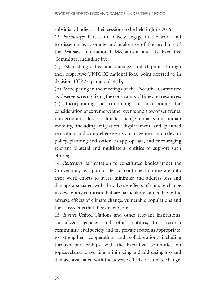subsidiary bodies at their sessions to be held in June 2019;

13. *Encourages* Parties to actively engage in the work and to disseminate, promote and make use of the products of the Warsaw International Mechanism and its Executive Committee, including by:

(a) Establishing a loss and damage contact point through their respective UNFCCC national focal point referred to in decision 4/CP.22, paragraph 4(d);

(b) Participating in the meetings of the Executive Committee as observers, recognizing the constraints of time and resources; (c) Incorporating or continuing to incorporate the consideration of extreme weather events and slow onset events, non-economic losses, climate change impacts on human mobility, including migration, displacement and planned relocation, and comprehensive risk management into relevant policy, planning and action, as appropriate, and encouraging relevant bilateral and multilateral entities to support such efforts;

14. *Reiterates* its invitation to constituted bodies under the Convention, as appropriate, to continue to integrate into their work efforts to avert, minimize and address loss and damage associated with the adverse effects of climate change in developing countries that are particularly vulnerable to the adverse effects of climate change, vulnerable populations and the ecosystems that they depend on;

15. *Invites* United Nations and other relevant institutions, specialized agencies and other entities, the research community, civil society and the private sector, as appropriate, to strengthen cooperation and collaboration, including through partnerships, with the Executive Committee on topics related to averting, minimizing and addressing loss and damage associated with the adverse effects of climate change,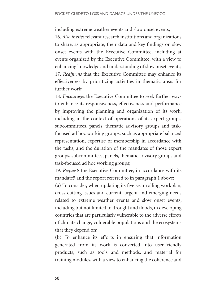including extreme weather events and slow onset events;

16. *Also invites* relevant research institutions and organizations to share, as appropriate, their data and key findings on slow onset events with the Executive Committee, including at events organized by the Executive Committee, with a view to enhancing knowledge and understanding of slow onset events; 17. *Reaffirms* that the Executive Committee may enhance its effectiveness by prioritizing activities in thematic areas for further work;

18. *Encourages* the Executive Committee to seek further ways to enhance its responsiveness, effectiveness and performance by improving the planning and organization of its work, including in the context of operations of its expert groups, subcommittees, panels, thematic advisory groups and taskfocused ad hoc working groups, such as appropriate balanced representation, expertise of membership in accordance with the tasks, and the duration of the mandates of those expert groups, subcommittees, panels, thematic advisory groups and task-focused ad hoc working groups;

19. *Requests* the Executive Committee, in accordance with its mandate5 and the report referred to in paragraph 1 above:

(a) To consider, when updating its five-year rolling workplan, cross-cutting issues and current, urgent and emerging needs related to extreme weather events and slow onset events, including but not limited to drought and floods, in developing countries that are particularly vulnerable to the adverse effects of climate change, vulnerable populations and the ecosystems that they depend on;

(b) To enhance its efforts in ensuring that information generated from its work is converted into user-friendly products, such as tools and methods, and material for training modules, with a view to enhancing the coherence and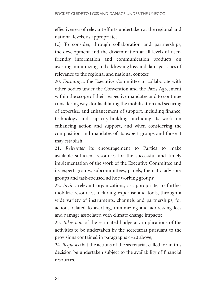effectiveness of relevant efforts undertaken at the regional and national levels, as appropriate;

(c) To consider, through collaboration and partnerships, the development and the dissemination at all levels of userfriendly information and communication products on averting, minimizing and addressing loss and damage issues of relevance to the regional and national context;

20. *Encourages* the Executive Committee to collaborate with other bodies under the Convention and the Paris Agreement within the scope of their respective mandates and to continue considering ways for facilitating the mobilization and securing of expertise, and enhancement of support, including finance, technology and capacity-building, including its work on enhancing action and support, and when considering the composition and mandates of its expert groups and those it may establish;

21. *Reiterates* its encouragement to Parties to make available sufficient resources for the successful and timely implementation of the work of the Executive Committee and its expert groups, subcommittees, panels, thematic advisory groups and task-focused ad hoc working groups;

22. *Invites* relevant organizations, as appropriate, to further mobilize resources, including expertise and tools, through a wide variety of instruments, channels and partnerships, for actions related to averting, minimizing and addressing loss and damage associated with climate change impacts;

23. *Takes note* of the estimated budgetary implications of the activities to be undertaken by the secretariat pursuant to the provisions contained in paragraphs 4–20 above;

24. *Requests* that the actions of the secretariat called for in this decision be undertaken subject to the availability of financial resources.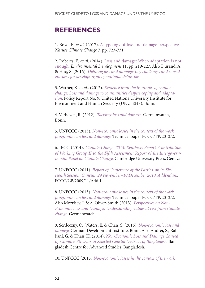# **REFERENCES**

[1.](#page-8-0) Boyd, E. *et al.* (2017). [A typology of loss and damage perspectives.](https://www.nature.com/articles/nclimate3389) *Nature Climate Change* 7, pp. 723-731.

[2.](#page-8-0) Roberts, E. *et al.* (2014). [Loss and damage: When adaptation is not](http://loss-and-damage.net/download/7292.pdf)  [enough.](http://loss-and-damage.net/download/7292.pdf) *Environmental Development* 11, pp. 219-227. Also Durand, A. & Huq, S. (2016). *[Defining loss and damage: Key challenges and consid](http://www.icccad.net/wp-content/uploads/2015/08/Defininglossanddamage-Final.pdf)[erations for developing an operational definition](http://www.icccad.net/wp-content/uploads/2015/08/Defininglossanddamage-Final.pdf)*.

[3.](#page-8-0) Warner, K. *et al..* (2012). *[Evidence from the frontlines of climate](http://unu.edu/publications/policy-briefs/evidence-from-the-frontlines-of-climate-change-loss-and-damage-to-communities-despite-coping-and-adaptation.html)  [change: Loss and damage to communities despite coping and adapta](http://unu.edu/publications/policy-briefs/evidence-from-the-frontlines-of-climate-change-loss-and-damage-to-communities-despite-coping-and-adaptation.html)[tion](http://unu.edu/publications/policy-briefs/evidence-from-the-frontlines-of-climate-change-loss-and-damage-to-communities-despite-coping-and-adaptation.html)*, Policy Report No. 9. United Nations University Institute for Environment and Human Security (UNU-EHS), Bonn.

[4.](#page-8-0) Verheyen, R. (2012). *[Tackling loss and damage](http://loss-and-damage.net/download/6877.pdf)*. Germanwatch, Bonn.

[5.](#page-8-0) UNFCCC (2013). *[Non-economic losses in the context of the work](http://unfccc.int/resource/docs/2013/tp/02.pdf)  [programme on loss and damage](http://unfccc.int/resource/docs/2013/tp/02.pdf)*. Technical paper FCCC/TP/2013/2.

[6.](#page-8-0) IPCC (2014). *[Climate Change 2014: Synthesis Report. Contribution](http://www.ipcc.ch/report/ar5/syr/)  [of Working Group II to the Fifth Assessment Report of the Intergovern](http://www.ipcc.ch/report/ar5/syr/)[mental Panel on Climate Change](http://www.ipcc.ch/report/ar5/syr/)*. Cambridge University Press, Geneva.

[7.](#page-9-0) UNFCCC (2011). *[Report of Conference of the Parties, on its Six](http://unfccc.int/resource/docs/2010/cop16/eng/07a01.pdf#page=2)[teenth Session, Cancun, 29 November–10 December 2010, Addendum](http://unfccc.int/resource/docs/2010/cop16/eng/07a01.pdf#page=2)*. FCCC/CP/2009/11/Add.1.

[8.](#page-9-0) UNFCCC (2013). *[Non-economic losses in the context of the work](http://unfccc.int/resource/docs/2013/tp/02.pdf)  [programme on loss and damage](http://unfccc.int/resource/docs/2013/tp/02.pdf)*. Technical paper FCCC/TP/2013/2. Also Morrisey, J. & A. Oliver-Smith (2013). *[Perspectives on Non-](http://loss-and-damage.net/download/7213.pdf)[Economic Loss and Damage: Understanding values at risk from climate](http://loss-and-damage.net/download/7213.pdf)  [change](http://loss-and-damage.net/download/7213.pdf)*. Germanwatch.

[9.](#page-9-0) Serdeczny, O., Waters, E. & Chan, S. (2016). *[Non-economic loss and](https://www.die-gdi.de/uploads/media/BP_3.2016_neu.pdf)  [damage](https://www.die-gdi.de/uploads/media/BP_3.2016_neu.pdf)*. German Development Institute, Bonn. Also Andrei, S., Rabbani, G. & Khan, H. (2014). *[Non-Economic Loss and Damage Caused](http://www.icccad.net/wp-content/uploads/2016/02/ADB-Study-on-Non-Economic-Losses-and-Damages-Report_Final-Version-Reduced-File-Size.compressed1.pdf)  [by Climatic Stressors in Selected Coastal Districts of Bangladesh](http://www.icccad.net/wp-content/uploads/2016/02/ADB-Study-on-Non-Economic-Losses-and-Damages-Report_Final-Version-Reduced-File-Size.compressed1.pdf)*. Bangladesh Centre for Advanced Studies. Bangladesh.

[10.](#page-9-0) UNFCCC (2013) *[Non-economic losses in the context of the work](http://unfccc.int/resource/docs/2013/tp/02.pdf)*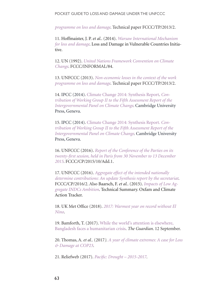POCKET GUIDE TO LOSS AND DAMAGE under the UNFCCC

*[programme on loss and damage](http://unfccc.int/resource/docs/2013/tp/02.pdf)*. Technical paper FCCC/TP/2013/2.

[11](#page-10-0). Hoffmaister, J. P. *et al..* (2014). *[Warsaw International Mechanism](http://www.lossanddamage.net/4950)  [for loss and damage](http://www.lossanddamage.net/4950)*. Loss and Damage in Vulnerable Countries Initiative.

[12.](#page-11-0) UN (1992). *[United Nations Framework Convention on Climate](http://unfccc.int/files/essential_background/convention/background/application/pdf/convention_text_with_annexes_english_for_posting.pdf)  [Change](http://unfccc.int/files/essential_background/convention/background/application/pdf/convention_text_with_annexes_english_for_posting.pdf)*. FCCC/INFORMAL/84.

[13.](#page-11-0) UNFCCC (2013). *[Non-economic losses in the context of the work](http://unfccc.int/resource/docs/2013/tp/02.pdf)  [programme on loss and damage](http://unfccc.int/resource/docs/2013/tp/02.pdf)*. Technical paper FCCC/TP/2013/2.

[14.](#page-11-0) IPCC (2014). [Climate Change 2014: Synthesis Report.](http://www.ipcc.ch/report/ar5/syr/) *Con[tribution of Working Group II to the Fifth Assessment Report of the](http://www.ipcc.ch/report/ar5/syr/)  [Intergovernmental Panel on Climate Change](http://www.ipcc.ch/report/ar5/syr/)*. Cambridge University Press, Geneva.

[15.](#page-12-0) IPCC (2014). [Climate Change 2014: Synthesis Report.](http://www.ipcc.ch/report/ar5/syr/) *Con[tribution of Working Group II to the Fifth Assessment Report of the](http://www.ipcc.ch/report/ar5/syr/)  [Intergovernmental Panel on Climate Change](http://www.ipcc.ch/report/ar5/syr/)*. Cambridge University Press, Geneva.

[16.](#page-12-0) UNFCCC (2016). *[Report of the Conference of the Parties on its](http://unfccc.int/resource/docs/2015/cop21/eng/10a01.pdf#page=2)  [twenty-first session, held in Paris from 30 November to 13 December](http://unfccc.int/resource/docs/2015/cop21/eng/10a01.pdf#page=2)  [2015](http://unfccc.int/resource/docs/2015/cop21/eng/10a01.pdf#page=2)*. FCCC/CP/2015/10/Add.1.

[17.](#page-12-0) UNFCCC (2016). *[Aggregate effect of the intended nationally](http://unfccc.int/resource/docs/2016/cop22/eng/02.pdf)  [determine contributions: An update Synthesis report by the secretariat](http://unfccc.int/resource/docs/2016/cop22/eng/02.pdf)*. FCCC/CP/2016/2. Also Baarsch, F. *et al..* (2015). *[Impacts of Low Ag](https://www.oxfam.org/sites/www.oxfam.org/files/file_attachments/rr-impacts-low-aggregate-indcs-ambition-251115-en.pdf)[gregate INDCs Ambition](https://www.oxfam.org/sites/www.oxfam.org/files/file_attachments/rr-impacts-low-aggregate-indcs-ambition-251115-en.pdf)*. Technical Summary. Oxfam and Climate Action Tracker.

[18.](#page-12-0) UK Met Office (2018). *[2017: Warmest year on record without El](https://www.metoffice.gov.uk/news/releases/2018/2017-temperature-announcement)  [Nino](https://www.metoffice.gov.uk/news/releases/2018/2017-temperature-announcement)*.

[19](#page-12-0). Bamforth, T. (2017). [While the world's attention is elsewhere,](https://www.theguardian.com/voluntary-sector-network/2017/sep/12/bangladesh-severe-disaster-flooding)  [Bangladesh faces a humanitarian crisis.](https://www.theguardian.com/voluntary-sector-network/2017/sep/12/bangladesh-severe-disaster-flooding) *The Guardian*. 12 September.

[20.](#page-12-0) Thomas, A. *et al..* (2017*). [A year of climate extremes: A case for Loss](http://climateanalytics.org/blog/2017/a-year-of-climate-extremes-a-case-for-loss-und-damage-at-cop23.html)  [& Damage at COP23](http://climateanalytics.org/blog/2017/a-year-of-climate-extremes-a-case-for-loss-und-damage-at-cop23.html)*.

[21.](#page-12-0) Reliefweb (2017). *[Pacific: Drought – 2015-2017](https://reliefweb.int/disaster/dr-2015-000127-fji)*.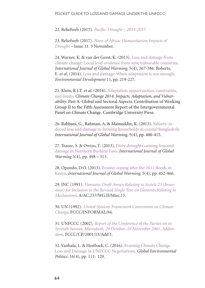[22.](#page-12-0) Reliefweb (2017). *[Pacific: Drought – 2015-2017.](https://reliefweb.int/disaster/dr-2015-000127-fji)*

[23.](#page-12-0) Reliefweb (2017). *[Horn of Africa: Humanitarian Impacts of](https://reliefweb.int/report/somalia/horn-africa-humanitarian-impacts-drought-issue-11-3-november-2017)  [Drought](https://reliefweb.int/report/somalia/horn-africa-humanitarian-impacts-drought-issue-11-3-november-2017)–* Issue 11. 3 November.

[24.](#page-13-0) Warner, K. & van der Geest, K. (2013). [Loss and damage from](http://collections.unu.edu/eserv/UNU:2096/warner_vandergeest_2013_loss_and_damage.pdf)  [climate change: Local level evidence from nine vulnerable countries.](http://collections.unu.edu/eserv/UNU:2096/warner_vandergeest_2013_loss_and_damage.pdf) *International Journal of Global Warming*, 5(4), 367-386. Roberts, E. *et al.* (2014). [Loss and damage: When adaptation is not enough](http://loss-and-damage.net/download/7292.pdf). *Environmental Development* 11, pp. 219-227.

[25. K](#page-13-0)lein, R.J.T. *et al.* (2014). [Adaptation opportunities, constraints,](http://www.ipcc.ch/pdf/assessment-report/ar5/wg2/WGIIAR5-Chap16_FINAL.pdf)  [and limits](http://www.ipcc.ch/pdf/assessment-report/ar5/wg2/WGIIAR5-Chap16_FINAL.pdf). *Climate Change 2014: Impacts, Adaptation, and Vulnerability*. Part A: Global and Sectoral Aspects. Contribution of Working Group II to the Fifth Assessment Report of the Intergovernmental Panel on Climate Change. Cambridge University Press.

[26.](#page-13-0) Rabbani, G., Rahman, A. & Mainuddin, K. (2013). [Salinity-in](http://loss-and-damage.net/download/7228.pdf)[duced loss and damage to farming households in coastal Bangladesh](http://loss-and-damage.net/download/7228.pdf). *International Journal of Global Warming,* 5(4), pp. 400-415.

[27. T](#page-13-0)raore, S. & Owiyo, T. (2013). [Dirty droughts causing loss and](https://www.inderscienceonline.com/doi/pdf/10.1504/IJGW.2013.057288)  [damage in Northern Burkina Faso](https://www.inderscienceonline.com/doi/pdf/10.1504/IJGW.2013.057288). *International Journal of Global Warming* 5(4), pp. 498 – 513.

[28. O](#page-13-0)pondo, D.O. (2013). [Erosive coping after the 2011 floods in](http://loss-and-damage.net/download/7230.pdf)  [Kenya.](http://loss-and-damage.net/download/7230.pdf) *International Journal of Global Warming*. 5(4), pp. 452-466.

[29. I](#page-15-0)NC (1991). *[Vanuatu: Draft Annex Relating to Article 23 \(Insur](http://unfccc.int/documentation/documents/advanced_search/items/6911.php?priref=600003876)[ance\) for Inclusion in the Revised Single Text on Elements Relating to](http://unfccc.int/documentation/documents/advanced_search/items/6911.php?priref=600003876)  [Mechanisms](http://unfccc.int/documentation/documents/advanced_search/items/6911.php?priref=600003876)*. A/AC.237/WG.II/Misc.13.

[30. U](#page-15-0)N (1992). *[United Nations Framework Convention on Climate](http://unfccc.int/files/essential_background/convention/background/application/pdf/convention_text_with_annexes_english_for_posting.pdf)  [Change](http://unfccc.int/files/essential_background/convention/background/application/pdf/convention_text_with_annexes_english_for_posting.pdf)*. FCCC/INFORMAL/84.

[31. U](#page-16-0)NFCCC (2002). *[Report of the Conference of the Parties on its](http://unfccc.int/resource/docs/cop7/13a01.pdf)  [Seventh Session, Marrakesh, 29 October–10 November 2001, Adden](http://unfccc.int/resource/docs/cop7/13a01.pdf)[dum](http://unfccc.int/resource/docs/cop7/13a01.pdf)*. FCCC/CP/2001/13/Add.1.

[32.](#page-16-0) Vanhala, L. & Hestbaek, C. (2016). [Framing Climate Change](https://www.mitpressjournals.org/doi/pdf/10.1162/GLEP_a_00379)  [Loss and Damage in UNFCCC Negotiations](https://www.mitpressjournals.org/doi/pdf/10.1162/GLEP_a_00379). *Global Environmental Politics.* 16(4), pp. 111- 129.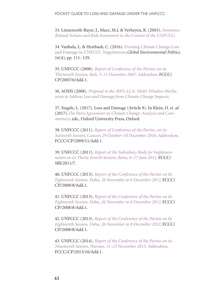[33.](#page-16-0) Linnerooth-Bayer, J., Mace, M.J. & Verheyen, R. (2003). *[Insurance-](http://unfccc.int/files/meetings/workshops/other_meetings/application/pdf/background.pdf)[Related Actions and Risk Assessment in the Context of the UNFCCC](http://unfccc.int/files/meetings/workshops/other_meetings/application/pdf/background.pdf)*.

[34.](#page-16-0) Vanhala, L. & Hestbaek, C. (2016). [Framing Climate Change Loss](https://www.mitpressjournals.org/doi/pdf/10.1162/GLEP_a_00379)  [and Damage in UNFCCC Negotiations](https://www.mitpressjournals.org/doi/pdf/10.1162/GLEP_a_00379).*Global Environmental Politics.* 16(4), pp. 111- 129.

[35. U](#page-16-0)NFCCC (2008). *[Report of Conference of the Parties, on its](http://unfccc.int/resource/docs/2007/cop13/eng/06a01.pdf#page=3)  [Thirteenth Session, Bali, 3–15 December 2007, Addendum](http://unfccc.int/resource/docs/2007/cop13/eng/06a01.pdf#page=3)*. FCCC/ CP/2007/6/Add.1.

[36.](#page-16-0) AOSIS (2008). *[Proposal to the AWG-LCA: Multi-Window Mecha](http://unfccc.int/files/kyoto_protocol/application/pdf/aosisinsurance061208.pdf)[nism to Address Loss and Damage from Climate Change Impacts](http://unfccc.int/files/kyoto_protocol/application/pdf/aosisinsurance061208.pdf)*.

[37. S](#page-17-0)iegele, L. (2017). Loss and Damage (Article 8). In Klein, D. *et. al.*  (2017).*[The Paris Agreement on Climate Change: Analysis and Com](https://global.oup.com/academic/product/the-paris-agreement-on-climate-change-9780198789338?cc=gb&lang=en&)[mentary](https://global.oup.com/academic/product/the-paris-agreement-on-climate-change-9780198789338?cc=gb&lang=en&)*. eds., Oxford University Press, Oxford.

[38. U](#page-17-0)NFCCC (2011). *[Report of Conference of the Parties, on its](https://unfccc.int/resource/docs/2010/cop16/eng/07a01.pdf)  [Sixteenth Session, Cancun 29 October–10 December 2010, Addendum](https://unfccc.int/resource/docs/2010/cop16/eng/07a01.pdf)*. FCCC/CP/2009/11/Add.1.

[39. U](#page-17-0)NFCCC (2011). *[Report of the Subsidiary Body for Implemen](http://unfccc.int/resource/docs/2011/sbi/eng/07.pdf)[tation on its Thirty-Fourth Session, Bonn, 6–17 June 2011](http://unfccc.int/resource/docs/2011/sbi/eng/07.pdf)*. FCCC/ SBI/2011/7.

[40. U](#page-17-0)NFCCC (2013). *[Report of the Conference of the Parties on Its](http://unfccc.int/resource/docs/2012/cop18/eng/08a01.pdf#page=21)  [Eighteenth Session, Doha, 26 November to 8 December 2012](http://unfccc.int/resource/docs/2012/cop18/eng/08a01.pdf#page=21)*. FCCC/ CP/2008/8/Add.1.

[41.](#page-18-0) UNFCCC (2013). *[Report of the Conference of the Parties on Its](http://unfccc.int/resource/docs/2012/cop18/eng/08a01.pdf#page=21)  [Eighteenth Session, Doha, 26 November to 8 December 2012](http://unfccc.int/resource/docs/2012/cop18/eng/08a01.pdf#page=21)*. FCCC/ CP/2008/8/Add.1.

[42. U](#page-18-0)NFCCC (2013). *[Report of the Conference of the Parties on Its](http://unfccc.int/resource/docs/2012/cop18/eng/08a01.pdf#page=21)  [Eighteenth Session, Doha, 26 November to 8 December 2012](http://unfccc.int/resource/docs/2012/cop18/eng/08a01.pdf#page=21)*. FCCC/ CP/2008/8/Add.1.

[43. U](#page-18-0)NFCCC (2014). *[Report of the Conference of the Parties on its](http://unfccc.int/resource/docs/2013/cop19/eng/10a01.pdf#page=6)  [Nineteenth Session, Warsaw, 11–23 November 2013, Addendum](http://unfccc.int/resource/docs/2013/cop19/eng/10a01.pdf#page=6)*. FCCC/CP/2013/10/Add.1.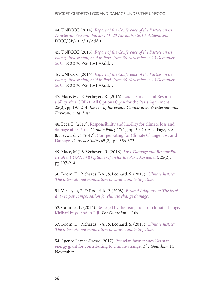[44. U](#page-20-0)NFCCC (2014). *[Report of the Conference of the Parties on its](http://unfccc.int/resource/docs/2013/cop19/eng/10a01.pdf#page=6)  [Nineteenth Session, Warsaw, 11–23 November 2013, Addendum](http://unfccc.int/resource/docs/2013/cop19/eng/10a01.pdf#page=6)*. FCCC/CP/2013/10/Add.1.

[45. U](#page-21-0)NFCCC (2016). *[Report of the Conference of the Parties on its](http://unfccc.int/resource/docs/2015/cop21/eng/10a01.pdf#page=2)  [twenty-first session, held in Paris from 30 November to 13 December](http://unfccc.int/resource/docs/2015/cop21/eng/10a01.pdf#page=2)  [2015](http://unfccc.int/resource/docs/2015/cop21/eng/10a01.pdf#page=2)*. FCCC/CP/2015/10/Add.1.

[46. U](#page-21-0)NFCCC (2016). *[Report of the Conference of the Parties on its](http://unfccc.int/resource/docs/2015/cop21/eng/10a01.pdf#page=2)  [twenty-first session, held in Paris from 30 November to 13 December](http://unfccc.int/resource/docs/2015/cop21/eng/10a01.pdf#page=2)  [2015](http://unfccc.int/resource/docs/2015/cop21/eng/10a01.pdf#page=2)*. FCCC/CP/2015/10/Add.1.

[47. M](#page-25-0)ace, M.J. & Verheyen, R. (2016). [Loss, Damage and Respon](https://onlinelibrary.wiley.com/doi/pdf/10.1111/reel.12172)[sibility after COP21: All Options Open for the Paris Agreement](https://onlinelibrary.wiley.com/doi/pdf/10.1111/reel.12172). 25(2), pp.197-214. *Review of European, Comparative & International Environmental Law.*

[48.](#page-25-0) Lees, E. (2017). [Responsibility and liability for climate loss and](https://www.tandfonline.com/doi/abs/10.1080/14693062.2016.1197095?journalCode=tcpo20)  [damage after Paris](https://www.tandfonline.com/doi/abs/10.1080/14693062.2016.1197095?journalCode=tcpo20). *Climate Policy* 17(1), pp. 59-70. Also Page, E.A. & Heyward, C. (2017). [Compensating for Climate Change Loss and](http://journals.sagepub.com/doi/abs/10.1177/0032321716647401)  [Damage.](http://journals.sagepub.com/doi/abs/10.1177/0032321716647401) *Political Studies* 65(2), pp. 356-372.

[49. M](#page-25-0)ace, M.J. & Verheyen, R. (2016). *[Loss, Damage and Responsibil](https://onlinelibrary.wiley.com/doi/pdf/10.1111/reel.12172)[ity after COP21: All Options Open for the Paris Agreement](https://onlinelibrary.wiley.com/doi/pdf/10.1111/reel.12172)*. 25(2), pp.197-214.

[50.](#page-25-0) Boom, K., Richards, J-A., & Leonard, S. (2016). *[Climate Justice:](https://www.boell.de/sites/default/files/report-climate-justice-2016.pdf)  [The international momentum towards climate litigation](https://www.boell.de/sites/default/files/report-climate-justice-2016.pdf)*.

[51.](#page-25-0) Verheyen, R. & Roderick, P. (2008). *[Beyond Adaptation: The legal](http://assets.wwf.org.uk/downloads/beyond_adaptation_lowres.pdf)  [duty to pay compensation for climate change damage](http://assets.wwf.org.uk/downloads/beyond_adaptation_lowres.pdf)*.

[52. C](#page-26-0)aramel, L. (2014). [Besieged by the rising tides of climate change,](http://www.theguardian.com/environment/2014/jul/01/kiribati-climate-change-fiji-vanua-levu)  [Kiribati buys land in Fiji](http://www.theguardian.com/environment/2014/jul/01/kiribati-climate-change-fiji-vanua-levu). *The Guardian*. 1 July.

[53. B](#page-26-0)oom, K., Richards, J-A., & Leonard, S. (2016). *[Climate Justice:](https://www.boell.de/sites/default/files/report-climate-justice-2016.pdf)  [The international momentum towards climate litigation](https://www.boell.de/sites/default/files/report-climate-justice-2016.pdf)*.

[54.](#page-26-0) Agence France-Presse (2017). [Peruvian farmer sues German](https://www.theguardian.com/world/2017/nov/14/peruvian-farmer-sues-german-energy-giant-rwe-climate-change)  [energy giant for contributing to climate change.](https://www.theguardian.com/world/2017/nov/14/peruvian-farmer-sues-german-energy-giant-rwe-climate-change) *The Guardian*. 14 November.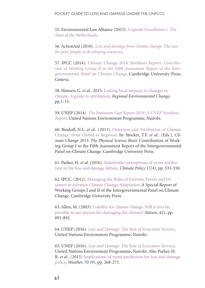[55.](#page-26-0) Environmental Law Alliance (2015). *[Urgenda Foundation v. The](https://elaw.org/nl.urgenda.15)  [State of the Netherlands](https://elaw.org/nl.urgenda.15)*.

[56.](#page-26-0) ActionAid (2010). *[Loss and damage from climate change: The cost](http://www.actionaid.org/sites/files/actionaid/loss_and_damage_-_discussion_paper_by_actionaid-_nov_2010.pdf)  [for poor people in developing countries](http://www.actionaid.org/sites/files/actionaid/loss_and_damage_-_discussion_paper_by_actionaid-_nov_2010.pdf)*.

[57.](#page-27-0) IPCC (2014). [Climate Change 2014: Synthesis Report.](http://www.ipcc.ch/pdf/assessment-report/ar5/syr/SYR_AR5_FINAL_full_wcover.pdf) *Contribu[tion of Working Group II to the Fifth Assessment Report of the Inter](http://www.ipcc.ch/pdf/assessment-report/ar5/syr/SYR_AR5_FINAL_full_wcover.pdf)[governmental Panel on Climate Change](http://www.ipcc.ch/pdf/assessment-report/ar5/syr/SYR_AR5_FINAL_full_wcover.pdf)*. Cambridge University Press, Geneva.

[58.](#page-27-0) Hansen, G. *et al..* 2015. [Linking local impacts to changes in](https://link.springer.com/article/10.1007/s10113-015-0760-y)  [climate: A guide to attribution](https://link.springer.com/article/10.1007/s10113-015-0760-y). *Regional Environmental Change*, pp.1-15.

[59.](#page-27-0) UNEP (2014). *[The Emissions Gap Report 2014: A UNEP Synthesis](http://wedocs.unep.org/handle/20.500.11822/9345)  [Report](http://wedocs.unep.org/handle/20.500.11822/9345)*. United Nations Environment Programme, Nairobi.

[60.](#page-27-0) Bindoff, N.L. *et al..* (2013). [Detection and Attribution of Climate](http://pure.iiasa.ac.at/id/eprint/10552/1/Detection%20and%20attribution%20of%20climate%20change%20From%20global%20to%20regional.pdf)  [Change: from Global to Regional](http://pure.iiasa.ac.at/id/eprint/10552/1/Detection%20and%20attribution%20of%20climate%20change%20From%20global%20to%20regional.pdf). In: Stocker, T.F. *et al..* (Eds.), *Climate Change 2013: The Physical Science Basis*. Contribution of Working Group I to the Fifth Assessment Report of the Intergovernmental Panel on Climate Change. Cambridge University Press.

[61.](#page-27-0) Parker, H. *et al.* (2016). [Stakeholder perceptions of event attribu](https://www.tandfonline.com/doi/pdf/10.1080/14693062.2015.1124750?needAccess=true)[tion in the loss and damage debate.](https://www.tandfonline.com/doi/pdf/10.1080/14693062.2015.1124750?needAccess=true) *Climate Policy* 17(4), pp. 533-550.

[62.](#page-27-0) IPCC. (2012). [Managing the Risks of Extreme Events and Di](https://www.ipcc.ch/pdf/special-reports/srex/SREX_Full_Report.pdf)[sasters to Advance Climate Change Adaptation](https://www.ipcc.ch/pdf/special-reports/srex/SREX_Full_Report.pdf). A Special Report of Working Groups I and II of the Intergovernmental Panel on Climate Change. Cambridge University Press.

[63.](#page-27-0) Allen, M. (2003). [Liability for climate change: Will it ever be](http://www.gatsby.ucl.ac.uk/~pel/environment/envsuits_nature03.pdf)  [possible to sue anyone for damaging the climate?](http://www.gatsby.ucl.ac.uk/~pel/environment/envsuits_nature03.pdf) *Nature*, 421, pp. 891-892.

[64.](#page-28-0) UNEP (2016). *[Loss and Damage: The Role of Ecosystem Services](https://uneplive.unep.org/media/docs/assessments/loss_and_damage.pdf)*. United Nations Environment Programme, Nairobi.

[65. U](#page-28-0)NEP (2016). *[Loss and Damage: The Role of Ecosystem Services](https://uneplive.unep.org/media/docs/assessments/loss_and_damage.pdf)*. United Nations Environment Programme, Nairobi. Also Parker, H. R. *et al..* (2015) [Implications of event attribution for loss and damage](http://centaur.reading.ac.uk/40396/)  [policy](http://centaur.reading.ac.uk/40396/). *Weather,* 70 (9). pp. 268-273.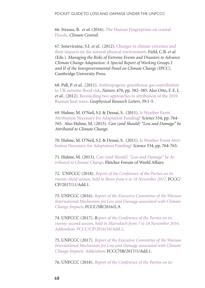[66.](#page-28-0) Strauss, B. *et al.* (2016). [The Human Fingerprints on coastal](http://www.climatecentral.org/news/the-human-fingerprints-on-coastal-floods-20050)  [Floods.](http://www.climatecentral.org/news/the-human-fingerprints-on-coastal-floods-20050) *Climate Central.*

[67.](#page-28-0) Seneviratne, S.I. *et al..* (2012). [Changes in climate extremes and](https://www.ipcc.ch/pdf/special-reports/srex/SREX-Chap3_FINAL.pdf)  [their impacts on the natural physical environment.](https://www.ipcc.ch/pdf/special-reports/srex/SREX-Chap3_FINAL.pdf) Field, C.B. *et al.*  (Eds.). *Managing the Risks of Extreme Events and Disasters to Advance Climate Change Adaptation: A Special Report of Working Groups I and II of the Intergovernmental Panel on Climate Change (IPCC).* Cambridge University Press.

[68.](#page-28-0) Pall, P. *et al..* (2011). [Anthropogenic greenhouse gas contribution](https://www.nature.com/articles/nature09762)  [to UK autumn flood risk.](https://www.nature.com/articles/nature09762) *Nature*, 470, pp. 382–385. Also Otto, F. E. L *et al..* (2012). [Reconciling two approaches to attribution of the 2010](http://onlinelibrary.wiley.com/doi/10.1029/2011GL050422/epdf)  [Russian heat wave](http://onlinelibrary.wiley.com/doi/10.1029/2011GL050422/epdf). *Geophysical Research Letters*. 39:1-5.

[69.](#page-28-0) Hulme, M. O'Neil, S.J. & Dessai, S. (2011). [Is Weather Event](http://science.sciencemag.org/content/334/6057/764)  [Attribution Necessary for Adaptation Funding?](http://science.sciencemag.org/content/334/6057/764) *Science* 334, pp. 764- 765. Also Hulme, M. (2013). *Can (and Should) "Loss and Damage" be Attributed to Climate Change*.

[70. H](#page-28-0)ulme, M. O'Neil, S.J. & Dessai, S. (2011). [Is Weather Event Attri](http://science.sciencemag.org/content/334/6057/764)[bution Necessary for Adaptation Funding?](http://science.sciencemag.org/content/334/6057/764) *Science* 334, pp. 764-765.

[71. H](#page-28-0)ulme, M. (2013). *[Can \(and Should\) "Loss and Damage" be At](http://www.fletcherforum.org/2013/02/27/hulme)[tributed to Climate Change](http://www.fletcherforum.org/2013/02/27/hulme)*. Fletcher Forum of World Affairs

[72.](#page-28-0) UNFCCC (2018). *[Report of the Conference of the Parties on its](http://unfccc.int/resource/docs/2017/cop23/eng/11a01.pdf)  [twenty-third session, held in Bonn from 6 to 18 November 2017](http://unfccc.int/resource/docs/2017/cop23/eng/11a01.pdf)*. FCCC/ CP/2017/11/Add.1.

[73. U](#page-29-0)NFCCC (2016). *[Report of the Executive Committee of the Warsaw](http://unfccc.int/resource/docs/2016/sb/eng/l09.pdf)  [International Mechanism for Loss and Damage associated with Climate](http://unfccc.int/resource/docs/2016/sb/eng/l09.pdf)  [Change Impacts](http://unfccc.int/resource/docs/2016/sb/eng/l09.pdf)*. FCCC/SB/2016/L.9.

[74. U](#page-30-0)NFCCC (2017). *R[eport of the Conference of the Parties on its](http://unfccc.int/resource/docs/2016/cop22/eng/10a01.pdf)  [twenty-second session, held in Marrakech from 7 to 18 November 2016.](http://unfccc.int/resource/docs/2016/cop22/eng/10a01.pdf)  Addendum*[. FCCC/CP/2016/10/Add.1.](http://unfccc.int/resource/docs/2016/cop22/eng/10a01.pdf)

[75. U](#page-30-0)NFCCC (2017). *[Report of the Executive Committee of the Warsaw](http://unfccc.int/resource/docs/2017/sb/eng/01a01e.pdf)  [International Mechanism for Loss and Damage associated with Climate](http://unfccc.int/resource/docs/2017/sb/eng/01a01e.pdf)  [Change Impacts. Addendum](http://unfccc.int/resource/docs/2017/sb/eng/01a01e.pdf)*. FCCC?SB/2017/1/Add.1.

[76. U](#page-30-0)NFCCC (2018). *[Report of the Conference of the Parties on its](http://unfccc.int/resource/docs/2017/cop23/eng/11a01.pdf)*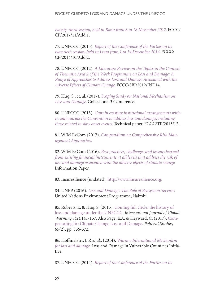*[twenty-third session, held in Bonn from 6 to 18 November 2017](http://unfccc.int/resource/docs/2017/cop23/eng/11a01.pdf)*. FCCC/ CP/2017/11/Add.1.

[77. U](#page-31-0)NFCCC (2015). *[Report of the Conference of the Parties on its](http://unfccc.int/resource/docs/2014/cop20/eng/10a02.pdf#page=2)  [twentieth session, held in Lima from 1 to 14 December 2014](http://unfccc.int/resource/docs/2014/cop20/eng/10a02.pdf#page=2)*. FCCC/ CP/2014/10/Add.2.

[78. U](#page-32-0)NFCCC (2012). *[A Literature Review on the Topics in the Context](http://unfccc.int/resource/docs/2012/sbi/eng/inf14.pdf)  [of Thematic Area 2 of the Work Programme on Loss and Damage: A](http://unfccc.int/resource/docs/2012/sbi/eng/inf14.pdf)  [Range of Approaches to Address Loss and Damage Associated with the](http://unfccc.int/resource/docs/2012/sbi/eng/inf14.pdf)  [Adverse Effects of Climate Change](http://unfccc.int/resource/docs/2012/sbi/eng/inf14.pdf)*. FCCC/SBI/2012/INF.14.

[79. H](#page-32-0)uq, S., et. al. (2017). *[Scoping Study on National Mechanism on](http://gobeshona.net/wp-content/uploads/2017/01/1.-Gobeshona-3-Presentation-on-National-Mechanism-on-LD_11.1.2017.pdf)  [Loss and Damage](http://gobeshona.net/wp-content/uploads/2017/01/1.-Gobeshona-3-Presentation-on-National-Mechanism-on-LD_11.1.2017.pdf)*. Gobeshona-3 Conference.

[80. U](#page-32-0)NFCCC (2013). *[Gaps in existing institutional arrangements with](http://unfccc.int/resource/docs/2013/tp/12.pdf)[in and outside the Convention to address loss and damage, including](http://unfccc.int/resource/docs/2013/tp/12.pdf)  [those related to slow onset events](http://unfccc.int/resource/docs/2013/tp/12.pdf)*. Technical paper. FCCC/TP/2013/12.

[81.](#page-32-0) WIM ExCom (2017). *[Compendium on Comprehensive Risk Man](http://unfccc.int/files/adaptation/workstreams/loss_and_damage/application/pdf/compendium_march_2017.pdf)[agement Approaches](http://unfccc.int/files/adaptation/workstreams/loss_and_damage/application/pdf/compendium_march_2017.pdf)*.

[82.](#page-32-0) WIM ExCom (2016). *[Best practices, challenges and lessons learned](http://unfccc.int/files/adaptation/groups_committees/loss_and_damage_executive_committee/application/pdf/aa7_d_information_paper.pdf)  [from existing financial instruments at all levels that address the risk of](http://unfccc.int/files/adaptation/groups_committees/loss_and_damage_executive_committee/application/pdf/aa7_d_information_paper.pdf)  [loss and damage associated with the adverse effects of climate change](http://unfccc.int/files/adaptation/groups_committees/loss_and_damage_executive_committee/application/pdf/aa7_d_information_paper.pdf)*. Information Paper.

[83.](#page-33-0) Insuresilience (undated). <http://www.insuresilience.org>.

[84.](#page-34-0) UNEP (2016). *[Loss and Damage: The Role of Ecosystem Services](https://uneplive.unep.org/media/docs/assessments/loss_and_damage.pdf)*. United Nations Environment Programme, Nairobi.

[85.](#page-35-0) Roberts, E. & Huq, S. (2015)[. Coming full circle: the history of](https://www.inderscienceonline.com/doi/pdf/10.1504/IJGW.2015.071964)  [loss and damage under the UNFCCC](https://www.inderscienceonline.com/doi/pdf/10.1504/IJGW.2015.071964). *International Journal of Global Warming* 8(2):141-157. Also Page, E.A. & Heyward, C. (2017). [Com](http://journals.sagepub.com/doi/abs/10.1177/0032321716647401)[pensating for Climate Change Loss and Damage.](http://journals.sagepub.com/doi/abs/10.1177/0032321716647401) *Political Studies,* 65(2), pp. 356-372.

[86.](#page-36-0) Hoffmaister, J. P. *et al..* (2014). *[Warsaw International Mechanism](http://www.lossanddamage.net/4950)  [for loss and damage](http://www.lossanddamage.net/4950)*. Loss and Damage in Vulnerable Countries Initiative.

[87.](#page-36-0) UNFCCC (2014). *[Report of the Conference of the Parties on its](http://unfccc.int/resource/docs/2013/cop19/eng/10a01.pdf#page=6)*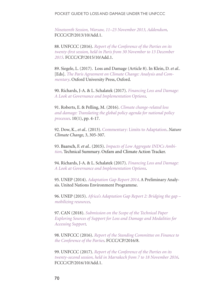*[Nineteenth Session, Warsaw, 11–23 November 2013, Addendum](http://unfccc.int/resource/docs/2013/cop19/eng/10a01.pdf#page=6)*. FCCC/CP/2013/10/Add.1.

[88. U](#page-37-0)NFCCC (2016). *[Report of the Conference of the Parties on its](http://unfccc.int/resource/docs/2015/cop21/eng/10a01.pdf#page=2)  [twenty-first session, held in Paris from 30 November to 13 December](http://unfccc.int/resource/docs/2015/cop21/eng/10a01.pdf#page=2)  [2015.](http://unfccc.int/resource/docs/2015/cop21/eng/10a01.pdf#page=2)* FCCC/CP/2015/10/Add.1.

[89.](#page-38-0) Siegele, L. (2017). Loss and Damage (Article 8). In Klein, D. *et al..*  [Eds]. *[The Paris Agreement on Climate Change: Analysis and Com](https://global.oup.com/academic/product/the-paris-agreement-on-climate-change-9780198789338?cc=gb&lang=en&#)[mentary](https://global.oup.com/academic/product/the-paris-agreement-on-climate-change-9780198789338?cc=gb&lang=en&#)*. Oxford University Press, Oxford.

[90. R](#page-38-0)ichards, J-A. & L. Schalatek (2017). *[Financing Loss and Damage:](https://www.boell.de/sites/default/files/loss_and_damage_finance_paper_update_16_may_2017.pdf)  [A Look at Governance and Implementation Options](https://www.boell.de/sites/default/files/loss_and_damage_finance_paper_update_16_may_2017.pdf)*.

[91. R](#page-38-0)oberts, E. & Pelling, M. (2016). *[Climate change-related loss](https://www.tandfonline.com/doi/pdf/10.1080/17565529.2016.1184608?needAccess=true)  [and damage: Translating the global policy agenda for national policy](https://www.tandfonline.com/doi/pdf/10.1080/17565529.2016.1184608?needAccess=true)  [processes](https://www.tandfonline.com/doi/pdf/10.1080/17565529.2016.1184608?needAccess=true)*. 10(1), pp. 4-17.

[92. D](#page-38-0)ow, K., *et al..* (2013). [Commentary: Limits to Adaptation.](https://www.google.co.uk/url?sa=t&rct=j&q=&esrc=s&source=web&cd=1&cad=rja&uact=8&ved=0ahUKEwiu9unf3f3ZAhVjFMAKHcfCCIUQFggsMAA&url=https%3A%2F%2Fwww.nature.com%2Farticles%2Fnclimate1847&usg=AOvVaw3oY2fCPzIUEUGv67Y7FvnR) *Nature Climate Change*, 3, 305-307.

[93. B](#page-39-0)aarsch, F. *et al..* (2015). *[Impacts of Low Aggregate INDCs Ambi](https://www.oxfam.org/sites/www.oxfam.org/files/file_attachments/rr-impacts-low-aggregate-indcs-ambition-251115-en.pdf)[tion](https://www.oxfam.org/sites/www.oxfam.org/files/file_attachments/rr-impacts-low-aggregate-indcs-ambition-251115-en.pdf)*. Technical Summary. Oxfam and Climate Action Tracker.

[94. R](#page-39-0)ichards, J-A. & L. Schalatek (2017). *[Financing Loss and Damage:](https://www.boell.de/sites/default/files/loss_and_damage_finance_paper_update_16_may_2017.pdf)  [A Look at Governance and Implementation Options](https://www.boell.de/sites/default/files/loss_and_damage_finance_paper_update_16_may_2017.pdf)*.

[95. U](#page-39-0)NEP (2014). *[Adaptation Gap Report 2014](http://web.unep.org/adaptationgapreport/sites/unep.org.adaptationgapreport/files/documents/agr_full_report.pdf)*. A Preliminary Analysis. United Nations Environment Programme.

[96. U](#page-39-0)NEP (2015). *[Africa's Adaptation Gap Report 2: Bridging the gap –](http://africanclimatefinancehub.net/wp-content/uploads/2017/09/Africas_adaptation_gap_2_Bridging_the_gap_mobilising_sources_2015.pdf)  [mobilizing resources](http://africanclimatefinancehub.net/wp-content/uploads/2017/09/Africas_adaptation_gap_2_Bridging_the_gap_mobilising_sources_2015.pdf)*.

[97.](#page-39-0) CAN (2018). *[Submission on the Scope of the Technical Paper](http://www.climatenetwork.org/sites/default/files/can_loss_and_damage_submission_022018.pdf)  [Exploring Sources of Support for Loss and Damage and Modalities for](http://www.climatenetwork.org/sites/default/files/can_loss_and_damage_submission_022018.pdf)  [Accessing Support](http://www.climatenetwork.org/sites/default/files/can_loss_and_damage_submission_022018.pdf)*.

[98. U](#page-40-0)NFCCC (2016). *[Report of the Standing Committee on Finance to](http://unfccc.int/resource/docs/2016/cop22/eng/08.pdf#page=29)  [the Conference of the Parties](http://unfccc.int/resource/docs/2016/cop22/eng/08.pdf#page=29)*. FCCC/CP/2016/8.

[99. U](#page-40-0)NFCCC (2017). *[Report of the Conference of the Parties on its](http://unfccc.int/resource/docs/2016/cop22/eng/10a01.pdf)  [twenty-second session, held in Marrakech from 7 to 18 November 2016](http://unfccc.int/resource/docs/2016/cop22/eng/10a01.pdf)*. FCCC/CP/2016/10/Add.1.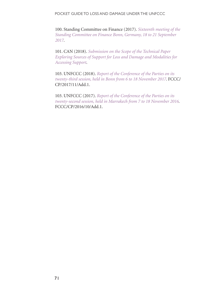[100.](#page-41-0) Standing Committee on Finance (2017). *[Sixteenth meeting of the](http://unfccc.int/files/cooperation_and_support/financial_mechanism/standing_committee/application/pdf/scf_16th_meeting_report.pdf)  [Standing Committee on Finance Bonn, Germany, 18 to 21 September](http://unfccc.int/files/cooperation_and_support/financial_mechanism/standing_committee/application/pdf/scf_16th_meeting_report.pdf)  [2017](http://unfccc.int/files/cooperation_and_support/financial_mechanism/standing_committee/application/pdf/scf_16th_meeting_report.pdf)*.

[101.](#page-41-0) CAN (2018). *[Submission on the Scope of the Technical Paper](http://www.climatenetwork.org/sites/default/files/can_loss_and_damage_submission_022018.pdf)  [Exploring Sources of Support for Loss and Damage and Modalities for](http://www.climatenetwork.org/sites/default/files/can_loss_and_damage_submission_022018.pdf)  [Accessing Support](http://www.climatenetwork.org/sites/default/files/can_loss_and_damage_submission_022018.pdf)*.

[103.](#page-42-0) UNFCCC (2018). *[Report of the Conference of the Parties on its](http://unfccc.int/resource/docs/2017/cop23/eng/11a01.pdf)  [twenty-third session, held in Bonn from 6 to 18 November 2017](http://unfccc.int/resource/docs/2017/cop23/eng/11a01.pdf)*. FCCC/ CP/2017/11/Add.1.

[103.](#page-43-0) UNFCCC (2017). *[Report of the Conference of the Parties on its](http://unfccc.int/resource/docs/2016/cop22/eng/10a01.pdf)  [twenty-second session, held in Marrakech from 7 to 18 November 2016](http://unfccc.int/resource/docs/2016/cop22/eng/10a01.pdf)*. FCCC/CP/2016/10/Add.1.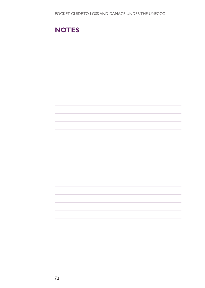# **NOTES**

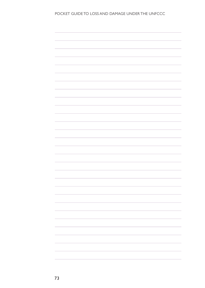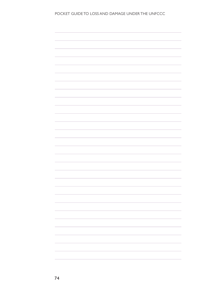